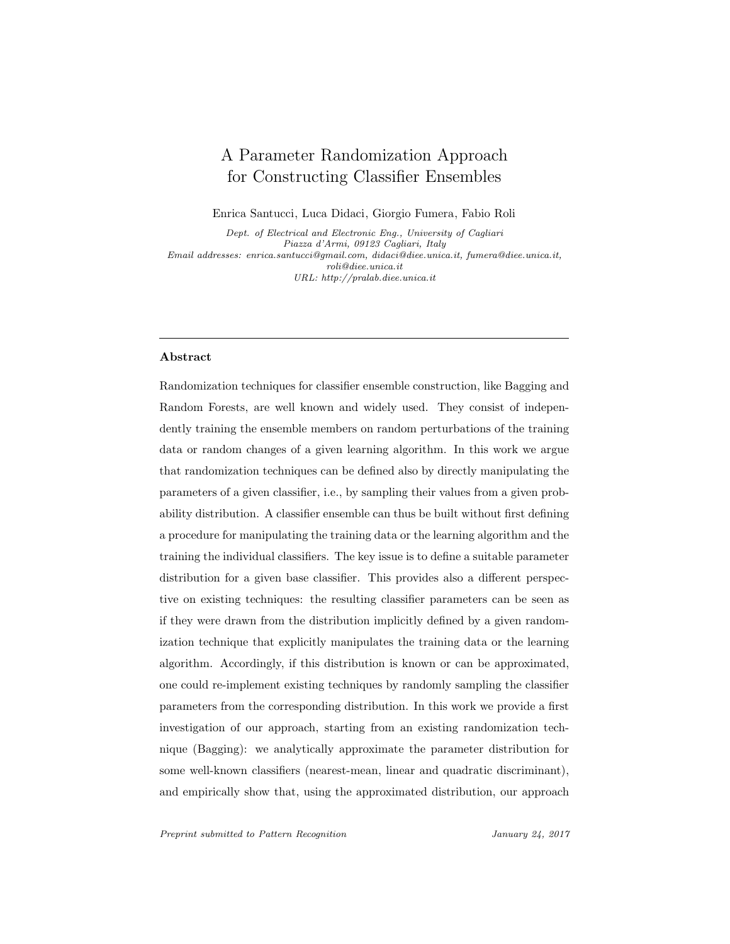# A Parameter Randomization Approach for Constructing Classifier Ensembles

Enrica Santucci, Luca Didaci, Giorgio Fumera, Fabio Roli

Dept. of Electrical and Electronic Eng., University of Cagliari Piazza d'Armi, 09123 Cagliari, Italy Email addresses: enrica.santucci@gmail.com, didaci@diee.unica.it, fumera@diee.unica.it, roli@diee.unica.it URL: http://pralab.diee.unica.it

## Abstract

Randomization techniques for classifier ensemble construction, like Bagging and Random Forests, are well known and widely used. They consist of independently training the ensemble members on random perturbations of the training data or random changes of a given learning algorithm. In this work we argue that randomization techniques can be defined also by directly manipulating the parameters of a given classifier, i.e., by sampling their values from a given probability distribution. A classifier ensemble can thus be built without first defining a procedure for manipulating the training data or the learning algorithm and the training the individual classifiers. The key issue is to define a suitable parameter distribution for a given base classifier. This provides also a different perspective on existing techniques: the resulting classifier parameters can be seen as if they were drawn from the distribution implicitly defined by a given randomization technique that explicitly manipulates the training data or the learning algorithm. Accordingly, if this distribution is known or can be approximated, one could re-implement existing techniques by randomly sampling the classifier parameters from the corresponding distribution. In this work we provide a first investigation of our approach, starting from an existing randomization technique (Bagging): we analytically approximate the parameter distribution for some well-known classifiers (nearest-mean, linear and quadratic discriminant), and empirically show that, using the approximated distribution, our approach

Preprint submitted to Pattern Recognition January 24, 2017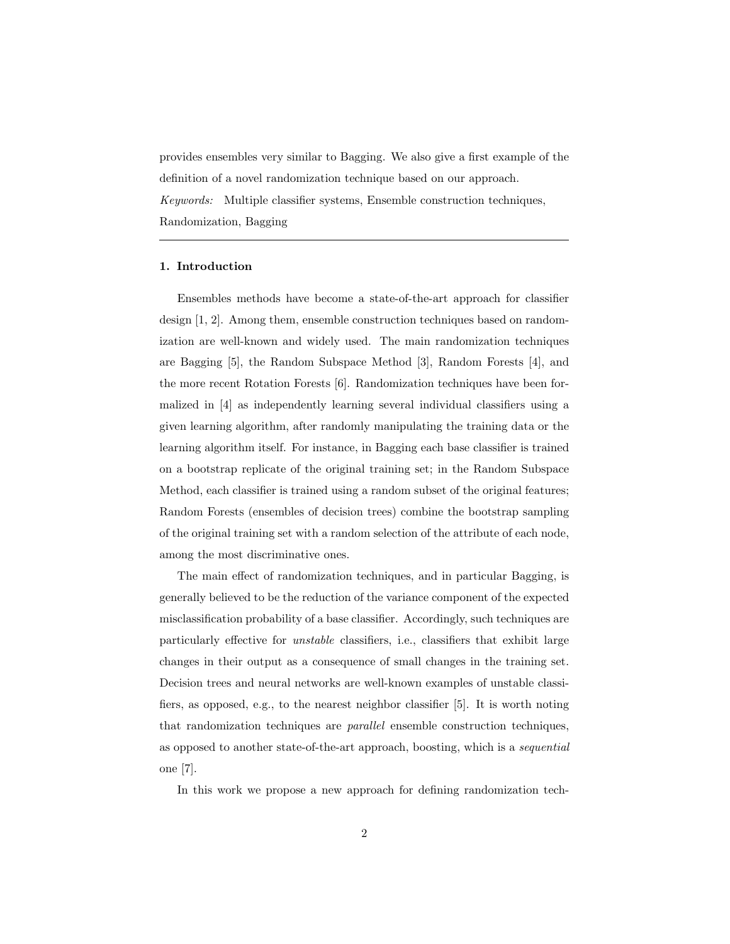provides ensembles very similar to Bagging. We also give a first example of the definition of a novel randomization technique based on our approach. Keywords: Multiple classifier systems, Ensemble construction techniques, Randomization, Bagging

#### 1. Introduction

Ensembles methods have become a state-of-the-art approach for classifier design [1, 2]. Among them, ensemble construction techniques based on randomization are well-known and widely used. The main randomization techniques are Bagging [5], the Random Subspace Method [3], Random Forests [4], and the more recent Rotation Forests [6]. Randomization techniques have been formalized in [4] as independently learning several individual classifiers using a given learning algorithm, after randomly manipulating the training data or the learning algorithm itself. For instance, in Bagging each base classifier is trained on a bootstrap replicate of the original training set; in the Random Subspace Method, each classifier is trained using a random subset of the original features; Random Forests (ensembles of decision trees) combine the bootstrap sampling of the original training set with a random selection of the attribute of each node, among the most discriminative ones.

The main effect of randomization techniques, and in particular Bagging, is generally believed to be the reduction of the variance component of the expected misclassification probability of a base classifier. Accordingly, such techniques are particularly effective for unstable classifiers, i.e., classifiers that exhibit large changes in their output as a consequence of small changes in the training set. Decision trees and neural networks are well-known examples of unstable classifiers, as opposed, e.g., to the nearest neighbor classifier [5]. It is worth noting that randomization techniques are parallel ensemble construction techniques, as opposed to another state-of-the-art approach, boosting, which is a sequential one [7].

In this work we propose a new approach for defining randomization tech-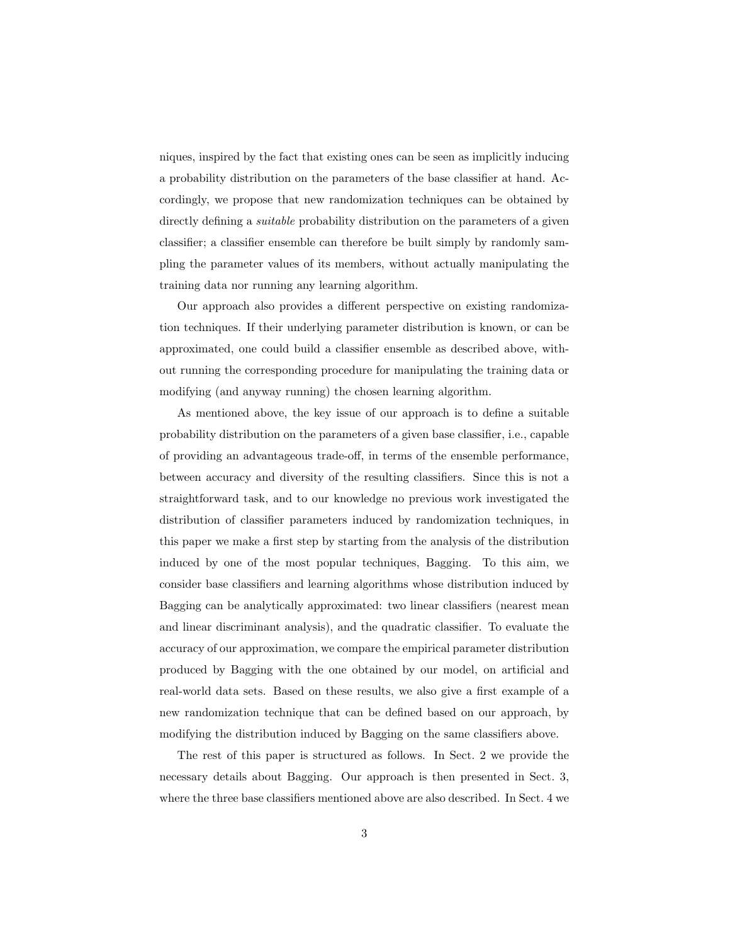niques, inspired by the fact that existing ones can be seen as implicitly inducing a probability distribution on the parameters of the base classifier at hand. Accordingly, we propose that new randomization techniques can be obtained by directly defining a *suitable* probability distribution on the parameters of a given classifier; a classifier ensemble can therefore be built simply by randomly sampling the parameter values of its members, without actually manipulating the training data nor running any learning algorithm.

Our approach also provides a different perspective on existing randomization techniques. If their underlying parameter distribution is known, or can be approximated, one could build a classifier ensemble as described above, without running the corresponding procedure for manipulating the training data or modifying (and anyway running) the chosen learning algorithm.

As mentioned above, the key issue of our approach is to define a suitable probability distribution on the parameters of a given base classifier, i.e., capable of providing an advantageous trade-off, in terms of the ensemble performance, between accuracy and diversity of the resulting classifiers. Since this is not a straightforward task, and to our knowledge no previous work investigated the distribution of classifier parameters induced by randomization techniques, in this paper we make a first step by starting from the analysis of the distribution induced by one of the most popular techniques, Bagging. To this aim, we consider base classifiers and learning algorithms whose distribution induced by Bagging can be analytically approximated: two linear classifiers (nearest mean and linear discriminant analysis), and the quadratic classifier. To evaluate the accuracy of our approximation, we compare the empirical parameter distribution produced by Bagging with the one obtained by our model, on artificial and real-world data sets. Based on these results, we also give a first example of a new randomization technique that can be defined based on our approach, by modifying the distribution induced by Bagging on the same classifiers above.

The rest of this paper is structured as follows. In Sect. 2 we provide the necessary details about Bagging. Our approach is then presented in Sect. 3, where the three base classifiers mentioned above are also described. In Sect. 4 we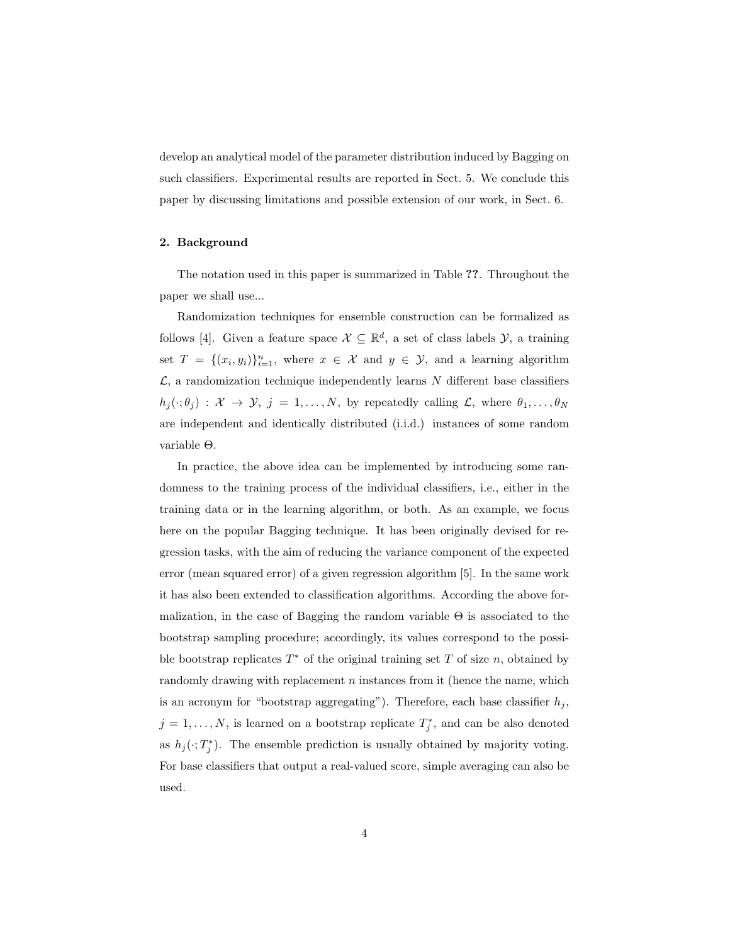develop an analytical model of the parameter distribution induced by Bagging on such classifiers. Experimental results are reported in Sect. 5. We conclude this paper by discussing limitations and possible extension of our work, in Sect. 6.

## 2. Background

The notation used in this paper is summarized in Table ??. Throughout the paper we shall use...

Randomization techniques for ensemble construction can be formalized as follows [4]. Given a feature space  $\mathcal{X} \subseteq \mathbb{R}^d$ , a set of class labels  $\mathcal{Y}$ , a training set  $T = \{(x_i, y_i)\}_{i=1}^n$ , where  $x \in \mathcal{X}$  and  $y \in \mathcal{Y}$ , and a learning algorithm  $\mathcal{L}$ , a randomization technique independently learns N different base classifiers  $h_j(\cdot;\theta_j) : \mathcal{X} \to \mathcal{Y}, \ j = 1,\ldots,N, \text{ by repeatedly calling } \mathcal{L}, \text{ where } \theta_1,\ldots,\theta_N$ are independent and identically distributed (i.i.d.) instances of some random variable Θ.

In practice, the above idea can be implemented by introducing some randomness to the training process of the individual classifiers, i.e., either in the training data or in the learning algorithm, or both. As an example, we focus here on the popular Bagging technique. It has been originally devised for regression tasks, with the aim of reducing the variance component of the expected error (mean squared error) of a given regression algorithm [5]. In the same work it has also been extended to classification algorithms. According the above formalization, in the case of Bagging the random variable  $\Theta$  is associated to the bootstrap sampling procedure; accordingly, its values correspond to the possible bootstrap replicates  $T^*$  of the original training set  $T$  of size  $n$ , obtained by randomly drawing with replacement  $n$  instances from it (hence the name, which is an acronym for "bootstrap aggregating"). Therefore, each base classifier  $h_i$ ,  $j = 1, \ldots, N$ , is learned on a bootstrap replicate  $T_j^*$ , and can be also denoted as  $h_j(\cdot; T_j^*)$ . The ensemble prediction is usually obtained by majority voting. For base classifiers that output a real-valued score, simple averaging can also be used.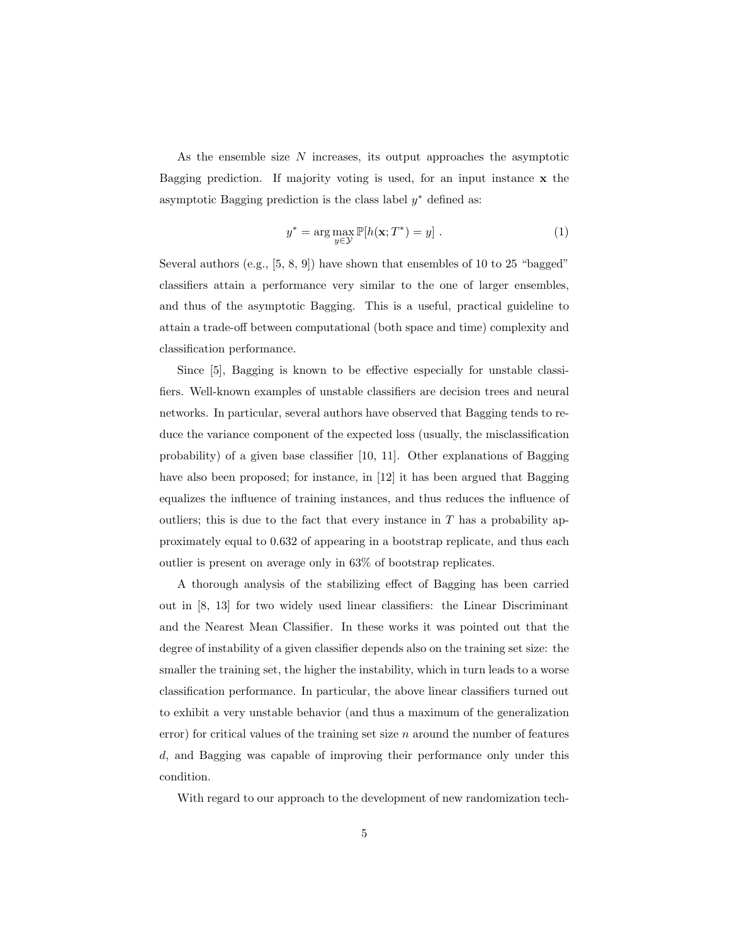As the ensemble size  $N$  increases, its output approaches the asymptotic Bagging prediction. If majority voting is used, for an input instance  $x$  the asymptotic Bagging prediction is the class label  $y^*$  defined as:

$$
y^* = \arg\max_{y \in \mathcal{Y}} \mathbb{P}[h(\mathbf{x}; T^*) = y] \tag{1}
$$

Several authors (e.g.,  $[5, 8, 9]$ ) have shown that ensembles of 10 to 25 "bagged" classifiers attain a performance very similar to the one of larger ensembles, and thus of the asymptotic Bagging. This is a useful, practical guideline to attain a trade-off between computational (both space and time) complexity and classification performance.

Since [5], Bagging is known to be effective especially for unstable classifiers. Well-known examples of unstable classifiers are decision trees and neural networks. In particular, several authors have observed that Bagging tends to reduce the variance component of the expected loss (usually, the misclassification probability) of a given base classifier [10, 11]. Other explanations of Bagging have also been proposed; for instance, in [12] it has been argued that Bagging equalizes the influence of training instances, and thus reduces the influence of outliers; this is due to the fact that every instance in  $T$  has a probability approximately equal to 0.632 of appearing in a bootstrap replicate, and thus each outlier is present on average only in 63% of bootstrap replicates.

A thorough analysis of the stabilizing effect of Bagging has been carried out in [8, 13] for two widely used linear classifiers: the Linear Discriminant and the Nearest Mean Classifier. In these works it was pointed out that the degree of instability of a given classifier depends also on the training set size: the smaller the training set, the higher the instability, which in turn leads to a worse classification performance. In particular, the above linear classifiers turned out to exhibit a very unstable behavior (and thus a maximum of the generalization error) for critical values of the training set size  $n$  around the number of features d, and Bagging was capable of improving their performance only under this condition.

With regard to our approach to the development of new randomization tech-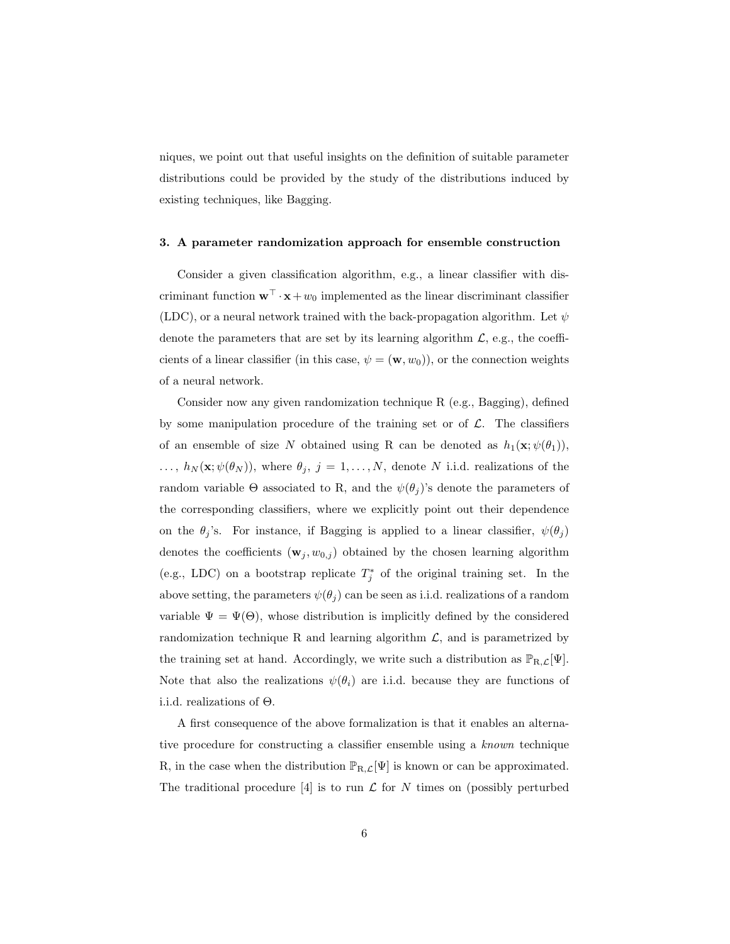niques, we point out that useful insights on the definition of suitable parameter distributions could be provided by the study of the distributions induced by existing techniques, like Bagging.

## 3. A parameter randomization approach for ensemble construction

Consider a given classification algorithm, e.g., a linear classifier with discriminant function  $\mathbf{w}^\top \cdot \mathbf{x} + w_0$  implemented as the linear discriminant classifier (LDC), or a neural network trained with the back-propagation algorithm. Let  $\psi$ denote the parameters that are set by its learning algorithm  $\mathcal{L}$ , e.g., the coefficients of a linear classifier (in this case,  $\psi = (\mathbf{w}, w_0)$ ), or the connection weights of a neural network.

Consider now any given randomization technique R (e.g., Bagging), defined by some manipulation procedure of the training set or of  $\mathcal{L}$ . The classifiers of an ensemble of size N obtained using R can be denoted as  $h_1(\mathbf{x}; \psi(\theta_1)),$  $\ldots, h_N(\mathbf{x}; \psi(\theta_N))$ , where  $\theta_j, j = 1, \ldots, N$ , denote N i.i.d. realizations of the random variable  $\Theta$  associated to R, and the  $\psi(\theta_i)$ 's denote the parameters of the corresponding classifiers, where we explicitly point out their dependence on the  $\theta_j$ 's. For instance, if Bagging is applied to a linear classifier,  $\psi(\theta_j)$ denotes the coefficients  $(\mathbf{w}_j, w_{0,j})$  obtained by the chosen learning algorithm (e.g., LDC) on a bootstrap replicate  $T_j^*$  of the original training set. In the above setting, the parameters  $\psi(\theta_j)$  can be seen as i.i.d. realizations of a random variable  $\Psi = \Psi(\Theta)$ , whose distribution is implicitly defined by the considered randomization technique R and learning algorithm  $\mathcal{L}$ , and is parametrized by the training set at hand. Accordingly, we write such a distribution as  $\mathbb{P}_{R,\mathcal{L}}[\Psi]$ . Note that also the realizations  $\psi(\theta_i)$  are i.i.d. because they are functions of i.i.d. realizations of Θ.

A first consequence of the above formalization is that it enables an alternative procedure for constructing a classifier ensemble using a known technique R, in the case when the distribution  $\mathbb{P}_{R,\mathcal{L}}[\Psi]$  is known or can be approximated. The traditional procedure  $[4]$  is to run  $\mathcal L$  for N times on (possibly perturbed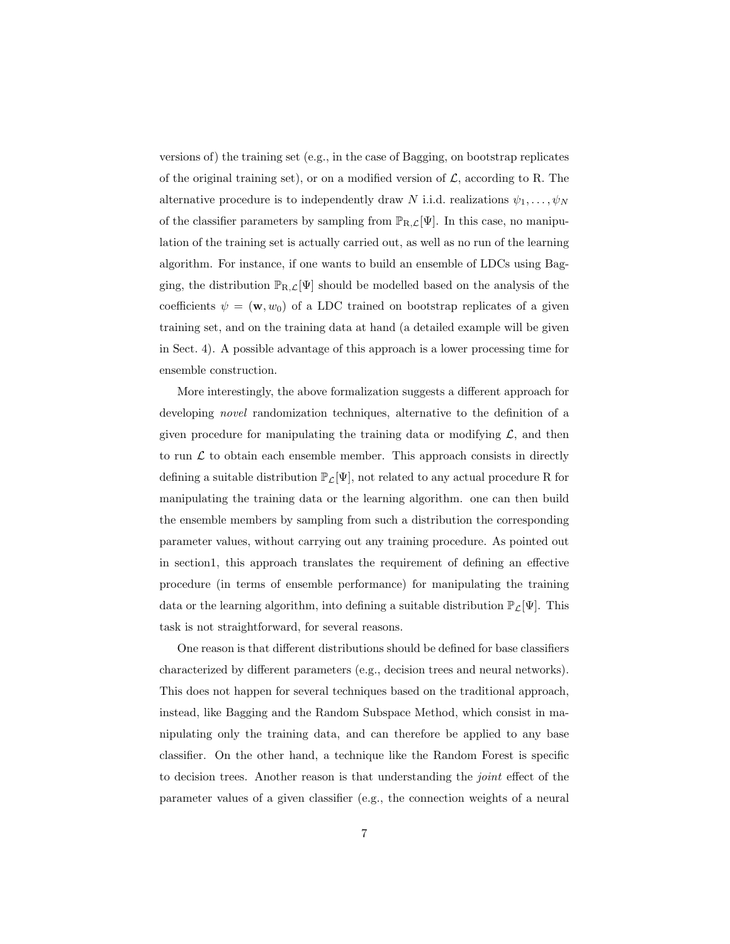versions of) the training set (e.g., in the case of Bagging, on bootstrap replicates of the original training set), or on a modified version of  $\mathcal{L}$ , according to R. The alternative procedure is to independently draw N i.i.d. realizations  $\psi_1, \ldots, \psi_N$ of the classifier parameters by sampling from  $\mathbb{P}_{R,\mathcal{L}}[\Psi].$  In this case, no manipulation of the training set is actually carried out, as well as no run of the learning algorithm. For instance, if one wants to build an ensemble of LDCs using Bagging, the distribution  $\mathbb{P}_{R,\mathcal{L}}[\Psi]$  should be modelled based on the analysis of the coefficients  $\psi = (\mathbf{w}, w_0)$  of a LDC trained on bootstrap replicates of a given training set, and on the training data at hand (a detailed example will be given in Sect. 4). A possible advantage of this approach is a lower processing time for ensemble construction.

More interestingly, the above formalization suggests a different approach for developing *novel* randomization techniques, alternative to the definition of a given procedure for manipulating the training data or modifying  $\mathcal{L}$ , and then to run  $\mathcal L$  to obtain each ensemble member. This approach consists in directly defining a suitable distribution  $\mathbb{P}_{\mathcal{L}}[\Psi]$ , not related to any actual procedure R for manipulating the training data or the learning algorithm. one can then build the ensemble members by sampling from such a distribution the corresponding parameter values, without carrying out any training procedure. As pointed out in section1, this approach translates the requirement of defining an effective procedure (in terms of ensemble performance) for manipulating the training data or the learning algorithm, into defining a suitable distribution  $\mathbb{P}_{\mathcal{L}}[\Psi]$ . This task is not straightforward, for several reasons.

One reason is that different distributions should be defined for base classifiers characterized by different parameters (e.g., decision trees and neural networks). This does not happen for several techniques based on the traditional approach, instead, like Bagging and the Random Subspace Method, which consist in manipulating only the training data, and can therefore be applied to any base classifier. On the other hand, a technique like the Random Forest is specific to decision trees. Another reason is that understanding the joint effect of the parameter values of a given classifier (e.g., the connection weights of a neural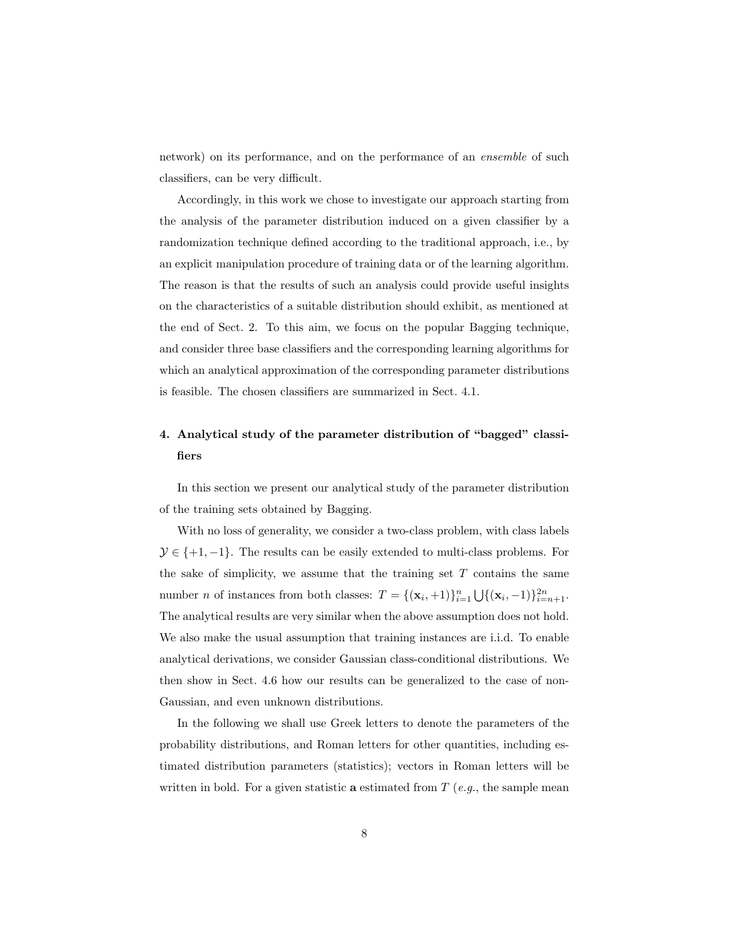network) on its performance, and on the performance of an ensemble of such classifiers, can be very difficult.

Accordingly, in this work we chose to investigate our approach starting from the analysis of the parameter distribution induced on a given classifier by a randomization technique defined according to the traditional approach, i.e., by an explicit manipulation procedure of training data or of the learning algorithm. The reason is that the results of such an analysis could provide useful insights on the characteristics of a suitable distribution should exhibit, as mentioned at the end of Sect. 2. To this aim, we focus on the popular Bagging technique, and consider three base classifiers and the corresponding learning algorithms for which an analytical approximation of the corresponding parameter distributions is feasible. The chosen classifiers are summarized in Sect. 4.1.

## 4. Analytical study of the parameter distribution of "bagged" classifiers

In this section we present our analytical study of the parameter distribution of the training sets obtained by Bagging.

With no loss of generality, we consider a two-class problem, with class labels  $\mathcal{Y} \in \{+1, -1\}$ . The results can be easily extended to multi-class problems. For the sake of simplicity, we assume that the training set  $T$  contains the same number *n* of instances from both classes:  $T = \{(\mathbf{x}_i, +1)\}_{i=1}^n \bigcup \{(\mathbf{x}_i, -1)\}_{i=n+1}^{2n}$ . The analytical results are very similar when the above assumption does not hold. We also make the usual assumption that training instances are i.i.d. To enable analytical derivations, we consider Gaussian class-conditional distributions. We then show in Sect. 4.6 how our results can be generalized to the case of non-Gaussian, and even unknown distributions.

In the following we shall use Greek letters to denote the parameters of the probability distributions, and Roman letters for other quantities, including estimated distribution parameters (statistics); vectors in Roman letters will be written in bold. For a given statistic **a** estimated from  $T$  (e.g., the sample mean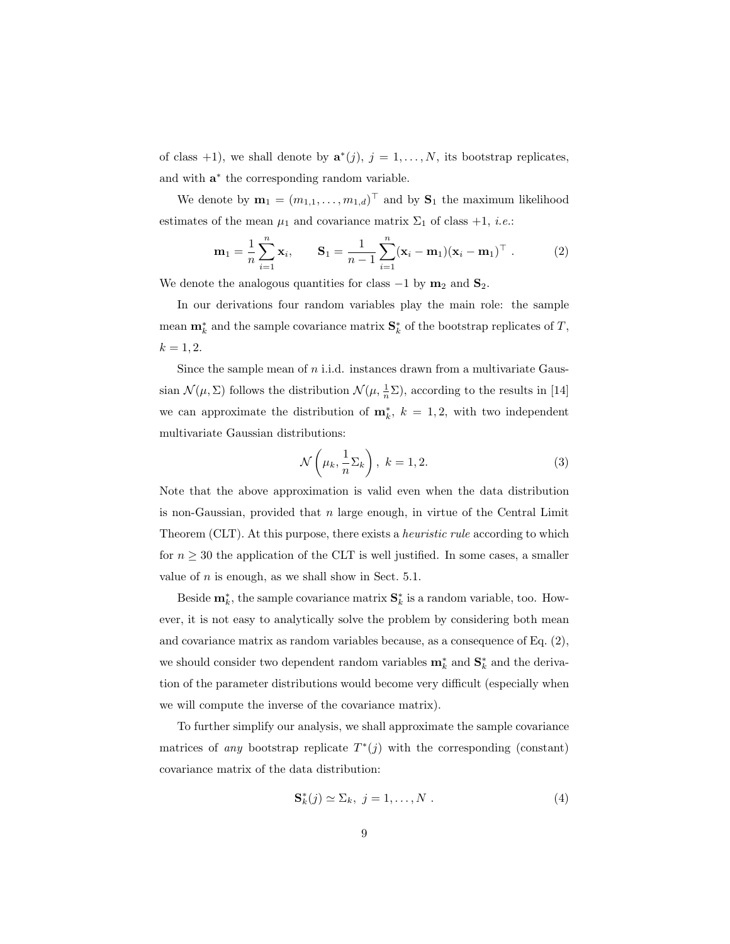of class +1), we shall denote by  $\mathbf{a}^*(j)$ ,  $j = 1, ..., N$ , its bootstrap replicates, and with  $a^*$  the corresponding random variable.

We denote by  $\mathbf{m}_1 = (m_{1,1}, \ldots, m_{1,d})^\top$  and by  $\mathbf{S}_1$  the maximum likelihood estimates of the mean  $\mu_1$  and covariance matrix  $\Sigma_1$  of class  $+1$ , *i.e.*:

$$
\mathbf{m}_1 = \frac{1}{n} \sum_{i=1}^n \mathbf{x}_i, \qquad \mathbf{S}_1 = \frac{1}{n-1} \sum_{i=1}^n (\mathbf{x}_i - \mathbf{m}_1) (\mathbf{x}_i - \mathbf{m}_1)^\top. \tag{2}
$$

We denote the analogous quantities for class  $-1$  by  $m_2$  and  $S_2$ .

In our derivations four random variables play the main role: the sample mean  $\mathbf{m}_k^*$  and the sample covariance matrix  $\mathbf{S}_k^*$  of the bootstrap replicates of T,  $k = 1, 2.$ 

Since the sample mean of  $n$  i.i.d. instances drawn from a multivariate Gaussian  $\mathcal{N}(\mu, \Sigma)$  follows the distribution  $\mathcal{N}(\mu, \frac{1}{n}\Sigma)$ , according to the results in [14] we can approximate the distribution of  $\mathbf{m}_k^*$ ,  $k = 1, 2$ , with two independent multivariate Gaussian distributions:

$$
\mathcal{N}\left(\mu_k, \frac{1}{n}\Sigma_k\right), \ k = 1, 2. \tag{3}
$$

Note that the above approximation is valid even when the data distribution is non-Gaussian, provided that  $n$  large enough, in virtue of the Central Limit Theorem (CLT). At this purpose, there exists a *heuristic rule* according to which for  $n \geq 30$  the application of the CLT is well justified. In some cases, a smaller value of  $n$  is enough, as we shall show in Sect. 5.1.

Beside  $\mathbf{m}_k^*$ , the sample covariance matrix  $\mathbf{S}_k^*$  is a random variable, too. However, it is not easy to analytically solve the problem by considering both mean and covariance matrix as random variables because, as a consequence of Eq. (2), we should consider two dependent random variables  $\mathbf{m}_k^*$  and  $\mathbf{S}_k^*$  and the derivation of the parameter distributions would become very difficult (especially when we will compute the inverse of the covariance matrix).

To further simplify our analysis, we shall approximate the sample covariance matrices of any bootstrap replicate  $T^*(j)$  with the corresponding (constant) covariance matrix of the data distribution:

$$
\mathbf{S}_{k}^{*}(j) \simeq \Sigma_{k}, \ j = 1, \dots, N \tag{4}
$$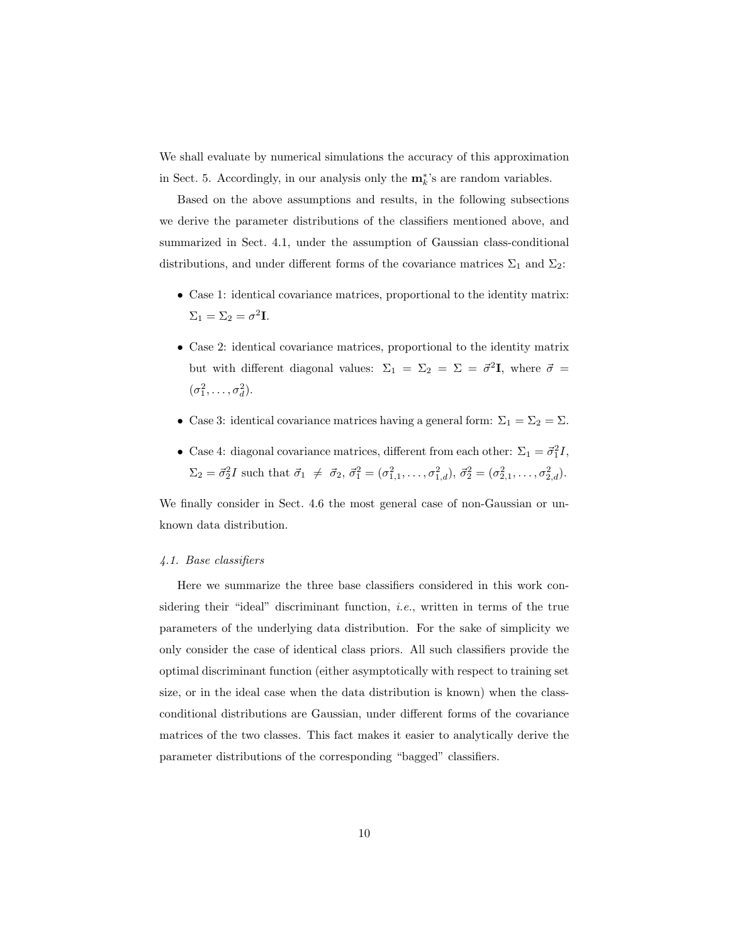We shall evaluate by numerical simulations the accuracy of this approximation in Sect. 5. Accordingly, in our analysis only the  $\mathbf{m}_k^*$ 's are random variables.

Based on the above assumptions and results, in the following subsections we derive the parameter distributions of the classifiers mentioned above, and summarized in Sect. 4.1, under the assumption of Gaussian class-conditional distributions, and under different forms of the covariance matrices  $\Sigma_1$  and  $\Sigma_2$ :

- Case 1: identical covariance matrices, proportional to the identity matrix:  $\Sigma_1 = \Sigma_2 = \sigma^2 \mathbf{I}.$
- Case 2: identical covariance matrices, proportional to the identity matrix but with different diagonal values:  $\Sigma_1 = \Sigma_2 = \Sigma = \vec{\sigma}^2 \mathbf{I}$ , where  $\vec{\sigma} =$  $(\sigma_1^2, \ldots, \sigma_d^2).$
- Case 3: identical covariance matrices having a general form:  $\Sigma_1 = \Sigma_2 = \Sigma$ .
- Case 4: diagonal covariance matrices, different from each other:  $\Sigma_1 = \vec{\sigma}_1^2 I$ ,  $\Sigma_2 = \vec{\sigma}_2^2 I$  such that  $\vec{\sigma}_1 \neq \vec{\sigma}_2$ ,  $\vec{\sigma}_1^2 = (\sigma_{1,1}^2, \ldots, \sigma_{1,d}^2), \vec{\sigma}_2^2 = (\sigma_{2,1}^2, \ldots, \sigma_{2,d}^2)$ .

We finally consider in Sect. 4.6 the most general case of non-Gaussian or unknown data distribution.

#### 4.1. Base classifiers

Here we summarize the three base classifiers considered in this work considering their "ideal" discriminant function, *i.e.*, written in terms of the true parameters of the underlying data distribution. For the sake of simplicity we only consider the case of identical class priors. All such classifiers provide the optimal discriminant function (either asymptotically with respect to training set size, or in the ideal case when the data distribution is known) when the classconditional distributions are Gaussian, under different forms of the covariance matrices of the two classes. This fact makes it easier to analytically derive the parameter distributions of the corresponding "bagged" classifiers.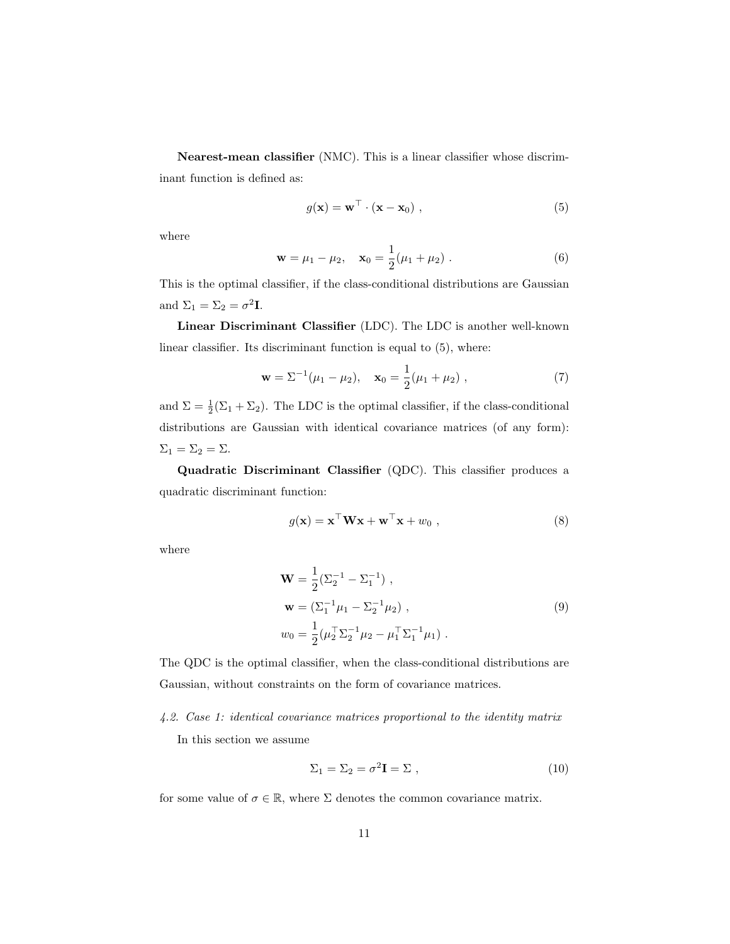Nearest-mean classifier (NMC). This is a linear classifier whose discriminant function is defined as:

$$
g(\mathbf{x}) = \mathbf{w}^{\top} \cdot (\mathbf{x} - \mathbf{x}_0) , \qquad (5)
$$

where

$$
\mathbf{w} = \mu_1 - \mu_2, \quad \mathbf{x}_0 = \frac{1}{2}(\mu_1 + \mu_2) \ . \tag{6}
$$

This is the optimal classifier, if the class-conditional distributions are Gaussian and  $\Sigma_1 = \Sigma_2 = \sigma^2 \mathbf{I}$ .

Linear Discriminant Classifier (LDC). The LDC is another well-known linear classifier. Its discriminant function is equal to (5), where:

$$
\mathbf{w} = \Sigma^{-1}(\mu_1 - \mu_2), \quad \mathbf{x}_0 = \frac{1}{2}(\mu_1 + \mu_2) , \qquad (7)
$$

and  $\Sigma = \frac{1}{2}(\Sigma_1 + \Sigma_2)$ . The LDC is the optimal classifier, if the class-conditional distributions are Gaussian with identical covariance matrices (of any form):  $\Sigma_1 = \Sigma_2 = \Sigma.$ 

Quadratic Discriminant Classifier (QDC). This classifier produces a quadratic discriminant function:

$$
g(\mathbf{x}) = \mathbf{x}^\top \mathbf{W} \mathbf{x} + \mathbf{w}^\top \mathbf{x} + w_0 , \qquad (8)
$$

where

$$
\mathbf{W} = \frac{1}{2} (\Sigma_2^{-1} - \Sigma_1^{-1}),
$$
  
\n
$$
\mathbf{w} = (\Sigma_1^{-1} \mu_1 - \Sigma_2^{-1} \mu_2),
$$
  
\n
$$
w_0 = \frac{1}{2} (\mu_2^{\top} \Sigma_2^{-1} \mu_2 - \mu_1^{\top} \Sigma_1^{-1} \mu_1).
$$
\n(9)

The QDC is the optimal classifier, when the class-conditional distributions are Gaussian, without constraints on the form of covariance matrices.

#### 4.2. Case 1: identical covariance matrices proportional to the identity matrix

In this section we assume

$$
\Sigma_1 = \Sigma_2 = \sigma^2 \mathbf{I} = \Sigma \tag{10}
$$

for some value of  $\sigma \in \mathbb{R}$ , where  $\Sigma$  denotes the common covariance matrix.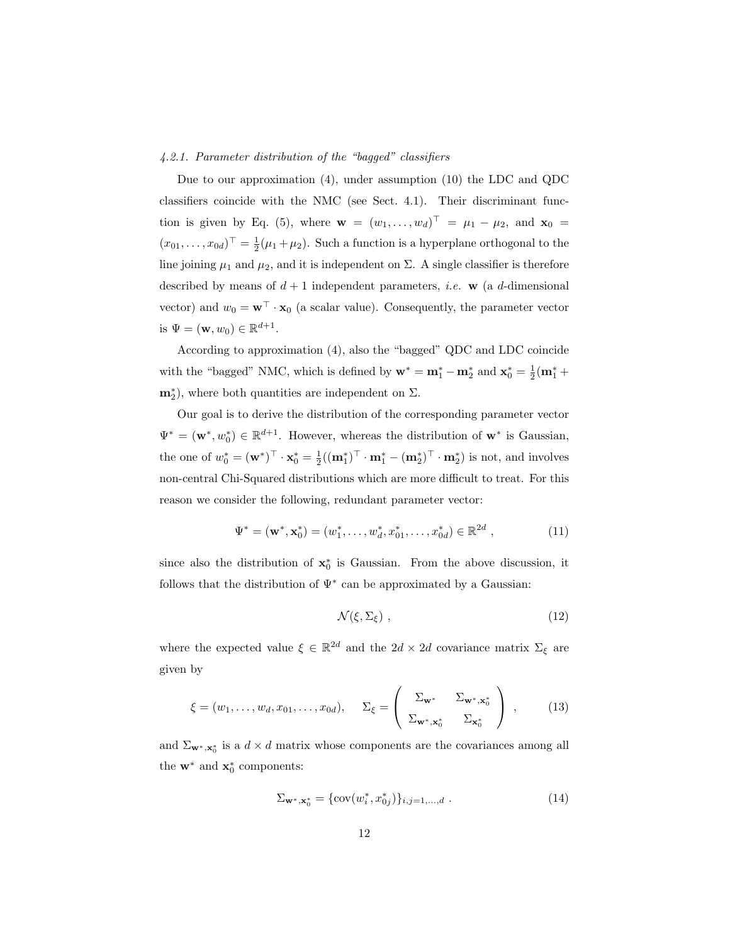## 4.2.1. Parameter distribution of the "bagged" classifiers

Due to our approximation (4), under assumption (10) the LDC and QDC classifiers coincide with the NMC (see Sect. 4.1). Their discriminant function is given by Eq. (5), where  $\mathbf{w} = (w_1, \dots, w_d)^\top = \mu_1 - \mu_2$ , and  $\mathbf{x}_0 =$  $(x_{01},...,x_{0d})^{\top} = \frac{1}{2}(\mu_1 + \mu_2)$ . Such a function is a hyperplane orthogonal to the line joining  $\mu_1$  and  $\mu_2$ , and it is independent on  $\Sigma$ . A single classifier is therefore described by means of  $d+1$  independent parameters, *i.e.* w (a d-dimensional vector) and  $w_0 = \mathbf{w}^\top \cdot \mathbf{x}_0$  (a scalar value). Consequently, the parameter vector is  $\Psi = (\mathbf{w}, w_0) \in \mathbb{R}^{d+1}$ .

According to approximation (4), also the "bagged" QDC and LDC coincide with the "bagged" NMC, which is defined by  $\mathbf{w}^* = \mathbf{m}_1^* - \mathbf{m}_2^*$  and  $\mathbf{x}_0^* = \frac{1}{2}(\mathbf{m}_1^* +$  $\mathbf{m}_2^*$ ), where both quantities are independent on  $\Sigma$ .

Our goal is to derive the distribution of the corresponding parameter vector  $\Psi^* = (\mathbf{w}^*, w_0^*) \in \mathbb{R}^{d+1}$ . However, whereas the distribution of  $\mathbf{w}^*$  is Gaussian, the one of  $w_0^* = (\mathbf{w}^*)^\top \cdot \mathbf{x}_0^* = \frac{1}{2} ((\mathbf{m}_1^*)^\top \cdot \mathbf{m}_1^* - (\mathbf{m}_2^*)^\top \cdot \mathbf{m}_2^*)$  is not, and involves non-central Chi-Squared distributions which are more difficult to treat. For this reason we consider the following, redundant parameter vector:

$$
\Psi^* = (\mathbf{w}^*, \mathbf{x}_0^*) = (w_1^*, \dots, w_d^*, x_{01}^*, \dots, x_{0d}^*) \in \mathbb{R}^{2d} ,
$$
\n(11)

since also the distribution of  $\mathbf{x}_0^*$  is Gaussian. From the above discussion, it follows that the distribution of  $\Psi^*$  can be approximated by a Gaussian:

$$
\mathcal{N}(\xi, \Sigma_{\xi}) \tag{12}
$$

where the expected value  $\xi \in \mathbb{R}^{2d}$  and the  $2d \times 2d$  covariance matrix  $\Sigma_{\xi}$  are given by

$$
\xi = (w_1, \dots, w_d, x_{01}, \dots, x_{0d}), \quad \Sigma_{\xi} = \begin{pmatrix} \Sigma_{\mathbf{w}^*} & \Sigma_{\mathbf{w}^*, \mathbf{x}_0^*} \\ \Sigma_{\mathbf{w}^*, \mathbf{x}_0^*} & \Sigma_{\mathbf{x}_0^*} \end{pmatrix}, \quad (13)
$$

and  $\Sigma_{\mathbf{w}^*,\mathbf{x}_0^*}$  is a  $d \times d$  matrix whose components are the covariances among all the  $\mathbf{w}^*$  and  $\mathbf{x}_0^*$  components:

$$
\Sigma_{\mathbf{w}^*, \mathbf{x}_0^*} = \{ \text{cov}(w_i^*, x_{0j}^*) \}_{i,j=1,\dots,d} .
$$
 (14)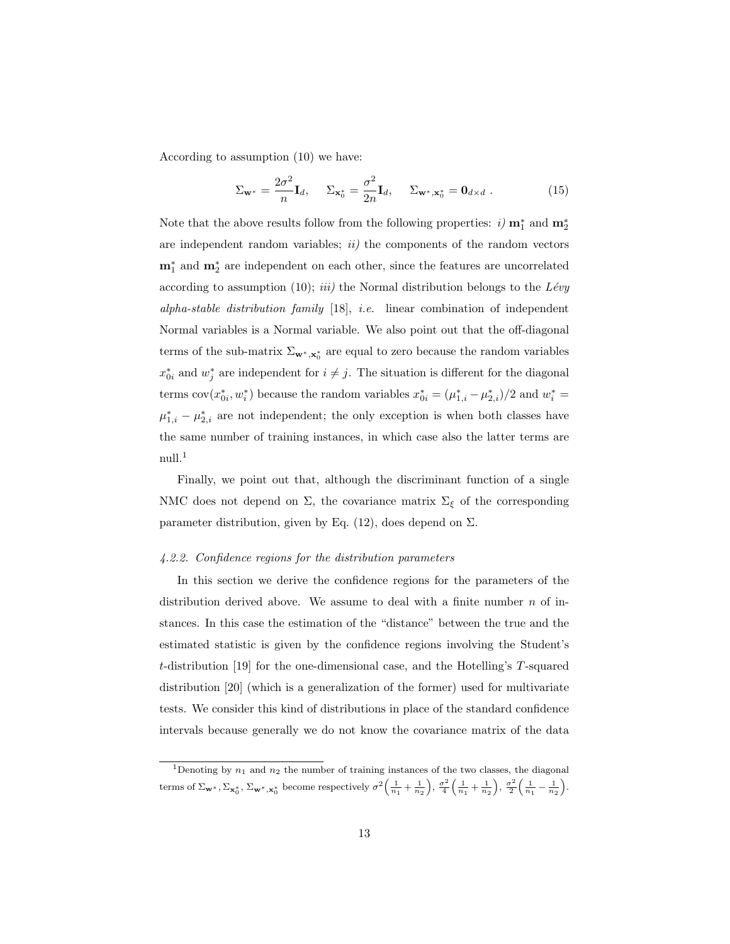According to assumption (10) we have:

$$
\Sigma_{\mathbf{w}^*} = \frac{2\sigma^2}{n} \mathbf{I}_d, \quad \Sigma_{\mathbf{x}_0^*} = \frac{\sigma^2}{2n} \mathbf{I}_d, \quad \Sigma_{\mathbf{w}^*, \mathbf{x}_0^*} = \mathbf{0}_{d \times d} . \tag{15}
$$

Note that the above results follow from the following properties:  $i)$  **m**<sup>\*</sup><sub>1</sub> and **m**<sup>\*</sup><sub>2</sub> are independent random variables;  $ii)$  the components of the random vectors  $m<sub>1</sub><sup>∗</sup>$  and  $m<sub>2</sub><sup>∗</sup>$  are independent on each other, since the features are uncorrelated according to assumption (10); *iii*) the Normal distribution belongs to the  $Lévy$ alpha-stable distribution family [18], i.e. linear combination of independent Normal variables is a Normal variable. We also point out that the off-diagonal terms of the sub-matrix  $\Sigma_{\mathbf{w}^*,\mathbf{x}_0^*}$  are equal to zero because the random variables  $x_{0i}^*$  and  $w_j^*$  are independent for  $i \neq j$ . The situation is different for the diagonal terms  $cov(x_0^*, w_i^*)$  because the random variables  $x_{0i}^* = (\mu_{1,i}^* - \mu_{2,i}^*)/2$  and  $w_i^* =$  $\mu_{1,i}^* - \mu_{2,i}^*$  are not independent; the only exception is when both classes have the same number of training instances, in which case also the latter terms are null.<sup>1</sup>

Finally, we point out that, although the discriminant function of a single NMC does not depend on  $\Sigma$ , the covariance matrix  $\Sigma_{\xi}$  of the corresponding parameter distribution, given by Eq.  $(12)$ , does depend on  $\Sigma$ .

#### 4.2.2. Confidence regions for the distribution parameters

In this section we derive the confidence regions for the parameters of the distribution derived above. We assume to deal with a finite number  $n$  of instances. In this case the estimation of the "distance" between the true and the estimated statistic is given by the confidence regions involving the Student's t-distribution [19] for the one-dimensional case, and the Hotelling's T-squared distribution [20] (which is a generalization of the former) used for multivariate tests. We consider this kind of distributions in place of the standard confidence intervals because generally we do not know the covariance matrix of the data

<sup>&</sup>lt;sup>1</sup>Denoting by  $n_1$  and  $n_2$  the number of training instances of the two classes, the diagonal terms of  $\Sigma_{\mathbf{w}^*}, \Sigma_{\mathbf{x}_0^*}, \Sigma_{\mathbf{w}^*, \mathbf{x}_0^*}$  become respectively  $\sigma^2\left(\frac{1}{n_1} + \frac{1}{n_2}\right), \frac{\sigma^2}{4}$  $\frac{\sigma^2}{4} \left( \frac{1}{n_1} + \frac{1}{n_2} \right)$ ,  $\frac{\sigma^2}{2}$  $\frac{\sigma^2}{2} \left( \frac{1}{n_1} - \frac{1}{n_2} \right).$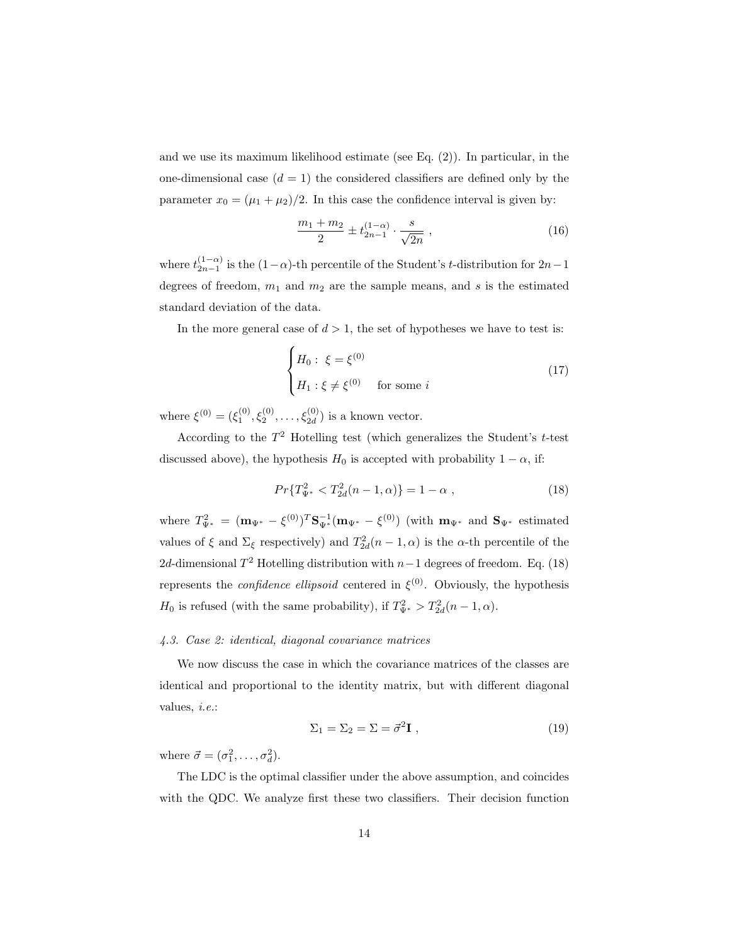and we use its maximum likelihood estimate (see Eq. (2)). In particular, in the one-dimensional case  $(d = 1)$  the considered classifiers are defined only by the parameter  $x_0 = (\mu_1 + \mu_2)/2$ . In this case the confidence interval is given by:

$$
\frac{m_1 + m_2}{2} \pm t_{2n-1}^{(1-\alpha)} \cdot \frac{s}{\sqrt{2n}} \,, \tag{16}
$$

where  $t_{2n-1}^{(1-\alpha)}$  is the  $(1-\alpha)$ -th percentile of the Student's t-distribution for  $2n-1$ degrees of freedom,  $m_1$  and  $m_2$  are the sample means, and s is the estimated standard deviation of the data.

In the more general case of  $d > 1$ , the set of hypotheses we have to test is:

$$
\begin{cases}\nH_0: \ \xi = \xi^{(0)} \\
H_1: \xi \neq \xi^{(0)} \quad \text{for some } i\n\end{cases}
$$
\n(17)

where  $\xi^{(0)} = (\xi_1^{(0)}, \xi_2^{(0)}, \dots, \xi_{2d}^{(0)})$  is a known vector.

According to the  $T^2$  Hotelling test (which generalizes the Student's t-test discussed above), the hypothesis  $H_0$  is accepted with probability  $1 - \alpha$ , if:

$$
Pr{T_{\Psi^*}^2 < T_{2d}^2(n-1,\alpha)} = 1 - \alpha ,
$$
\n(18)

where  $T_{\Psi^*}^2 = (\mathbf{m}_{\Psi^*} - \xi^{(0)})^T \mathbf{S}_{\Psi^*}^{-1} (\mathbf{m}_{\Psi^*} - \xi^{(0)})$  (with  $\mathbf{m}_{\Psi^*}$  and  $\mathbf{S}_{\Psi^*}$  estimated values of  $\xi$  and  $\Sigma_{\xi}$  respectively) and  $T_{2d}^2(n-1,\alpha)$  is the  $\alpha$ -th percentile of the 2d-dimensional  $T^2$  Hotelling distribution with  $n-1$  degrees of freedom. Eq. (18) represents the *confidence ellipsoid* centered in  $\xi^{(0)}$ . Obviously, the hypothesis  $H_0$  is refused (with the same probability), if  $T_{\Psi^*}^2 > T_{2d}^2(n-1,\alpha)$ .

#### 4.3. Case 2: identical, diagonal covariance matrices

We now discuss the case in which the covariance matrices of the classes are identical and proportional to the identity matrix, but with different diagonal values, i.e.:

$$
\Sigma_1 = \Sigma_2 = \Sigma = \vec{\sigma}^2 \mathbf{I} \tag{19}
$$

where  $\vec{\sigma} = (\sigma_1^2, \dots, \sigma_d^2)$ .

The LDC is the optimal classifier under the above assumption, and coincides with the QDC. We analyze first these two classifiers. Their decision function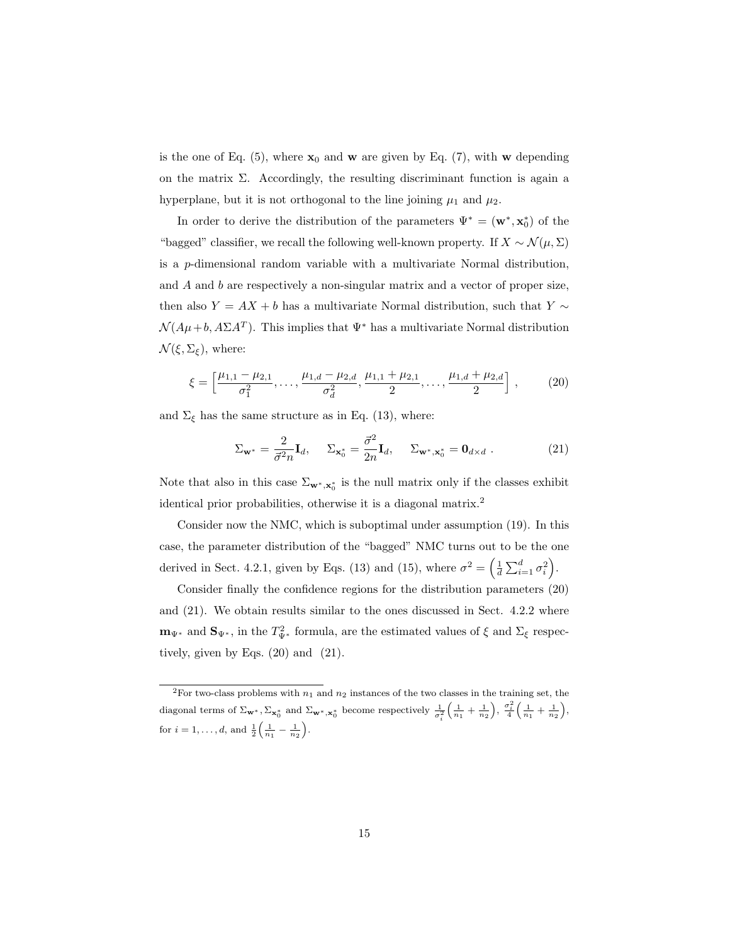is the one of Eq. (5), where  $x_0$  and w are given by Eq. (7), with w depending on the matrix  $\Sigma$ . Accordingly, the resulting discriminant function is again a hyperplane, but it is not orthogonal to the line joining  $\mu_1$  and  $\mu_2$ .

In order to derive the distribution of the parameters  $\Psi^* = (\mathbf{w}^*, \mathbf{x}_0^*)$  of the "bagged" classifier, we recall the following well-known property. If  $X \sim \mathcal{N}(\mu, \Sigma)$ is a p-dimensional random variable with a multivariate Normal distribution, and  $A$  and  $b$  are respectively a non-singular matrix and a vector of proper size, then also  $Y = AX + b$  has a multivariate Normal distribution, such that  $Y \sim$  $\mathcal{N}(A\mu + b, A\Sigma A^T)$ . This implies that  $\Psi^*$  has a multivariate Normal distribution  $\mathcal{N}(\xi, \Sigma_{\xi}),$  where:

$$
\xi = \left[\frac{\mu_{1,1} - \mu_{2,1}}{\sigma_1^2}, \dots, \frac{\mu_{1,d} - \mu_{2,d}}{\sigma_d^2}, \frac{\mu_{1,1} + \mu_{2,1}}{2}, \dots, \frac{\mu_{1,d} + \mu_{2,d}}{2}\right],\tag{20}
$$

and  $\Sigma_{\xi}$  has the same structure as in Eq. (13), where:

$$
\Sigma_{\mathbf{w}^*} = \frac{2}{\vec{\sigma}^2 n} \mathbf{I}_d, \quad \Sigma_{\mathbf{x}_0^*} = \frac{\vec{\sigma}^2}{2n} \mathbf{I}_d, \quad \Sigma_{\mathbf{w}^*, \mathbf{x}_0^*} = \mathbf{0}_{d \times d} . \tag{21}
$$

Note that also in this case  $\Sigma_{\mathbf{w}^*, \mathbf{x}_0^*}$  is the null matrix only if the classes exhibit identical prior probabilities, otherwise it is a diagonal matrix.<sup>2</sup>

Consider now the NMC, which is suboptimal under assumption (19). In this case, the parameter distribution of the "bagged" NMC turns out to be the one derived in Sect. 4.2.1, given by Eqs. (13) and (15), where  $\sigma^2 = \left(\frac{1}{d} \sum_{i=1}^d \sigma_i^2\right)$ .

Consider finally the confidence regions for the distribution parameters (20) and (21). We obtain results similar to the ones discussed in Sect. 4.2.2 where  $\mathbf{m}_{\Psi^*}$  and  $\mathbf{S}_{\Psi^*}$ , in the  $T_{\Psi^*}^2$  formula, are the estimated values of  $\xi$  and  $\Sigma_{\xi}$  respectively, given by Eqs.  $(20)$  and  $(21)$ .

<sup>&</sup>lt;sup>2</sup>For two-class problems with  $n_1$  and  $n_2$  instances of the two classes in the training set, the diagonal terms of  $\Sigma_{\mathbf{w}^*}, \Sigma_{\mathbf{x}_0^*}$  and  $\Sigma_{\mathbf{w}^*, \mathbf{x}_0^*}$  become respectively  $\frac{1}{\sigma_i^2}$  $\left(\frac{1}{n_1}+\frac{1}{n_2}\right), \frac{\sigma_i^2}{4}\left(\frac{1}{n_1}+\frac{1}{n_2}\right),$ for  $i = 1, ..., d$ , and  $\frac{1}{2} \left( \frac{1}{n_1} - \frac{1}{n_2} \right)$ .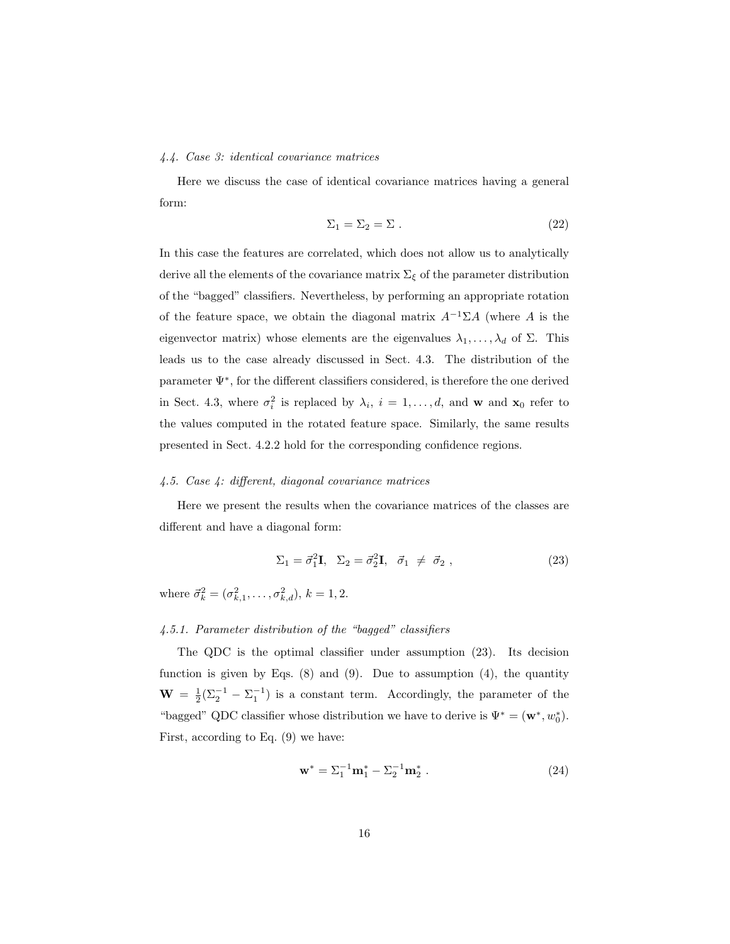## 4.4. Case 3: identical covariance matrices

Here we discuss the case of identical covariance matrices having a general form:

$$
\Sigma_1 = \Sigma_2 = \Sigma . \tag{22}
$$

In this case the features are correlated, which does not allow us to analytically derive all the elements of the covariance matrix  $\Sigma_{\xi}$  of the parameter distribution of the "bagged" classifiers. Nevertheless, by performing an appropriate rotation of the feature space, we obtain the diagonal matrix  $A^{-1} \Sigma A$  (where A is the eigenvector matrix) whose elements are the eigenvalues  $\lambda_1, \ldots, \lambda_d$  of  $\Sigma$ . This leads us to the case already discussed in Sect. 4.3. The distribution of the parameter Ψ<sup>∗</sup> , for the different classifiers considered, is therefore the one derived in Sect. 4.3, where  $\sigma_i^2$  is replaced by  $\lambda_i$ ,  $i = 1, \ldots, d$ , and **w** and **x**<sub>0</sub> refer to the values computed in the rotated feature space. Similarly, the same results presented in Sect. 4.2.2 hold for the corresponding confidence regions.

## 4.5. Case 4: different, diagonal covariance matrices

Here we present the results when the covariance matrices of the classes are different and have a diagonal form:

$$
\Sigma_1 = \vec{\sigma}_1^2 \mathbf{I}, \ \ \Sigma_2 = \vec{\sigma}_2^2 \mathbf{I}, \ \ \vec{\sigma}_1 \ \neq \ \vec{\sigma}_2 \ , \tag{23}
$$

where  $\vec{\sigma}_k^2 = (\sigma_{k,1}^2, \ldots, \sigma_{k,d}^2), k = 1, 2.$ 

## 4.5.1. Parameter distribution of the "bagged" classifiers

The QDC is the optimal classifier under assumption (23). Its decision function is given by Eqs.  $(8)$  and  $(9)$ . Due to assumption  $(4)$ , the quantity  $\mathbf{W} = \frac{1}{2}(\Sigma_2^{-1} - \Sigma_1^{-1})$  is a constant term. Accordingly, the parameter of the "bagged" QDC classifier whose distribution we have to derive is  $\Psi^* = (\mathbf{w}^*, w_0^*)$ . First, according to Eq. (9) we have:

$$
\mathbf{w}^* = \Sigma_1^{-1} \mathbf{m}_1^* - \Sigma_2^{-1} \mathbf{m}_2^* \ . \tag{24}
$$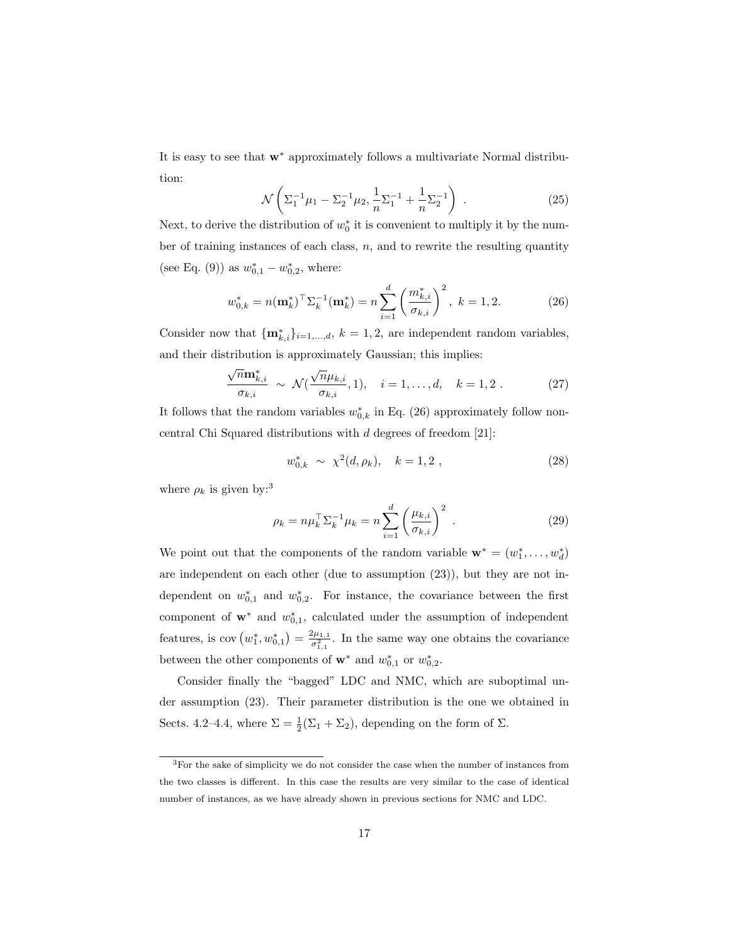It is easy to see that w<sup>∗</sup> approximately follows a multivariate Normal distribution:

$$
\mathcal{N}\left(\Sigma_1^{-1}\mu_1 - \Sigma_2^{-1}\mu_2, \frac{1}{n}\Sigma_1^{-1} + \frac{1}{n}\Sigma_2^{-1}\right) \tag{25}
$$

Next, to derive the distribution of  $w_0^*$  it is convenient to multiply it by the number of training instances of each class,  $n$ , and to rewrite the resulting quantity (see Eq. (9)) as  $w_{0,1}^* - w_{0,2}^*$ , where:

$$
w_{0,k}^* = n(\mathbf{m}_k^*)^\top \Sigma_k^{-1}(\mathbf{m}_k^*) = n \sum_{i=1}^d \left(\frac{m_{k,i}^*}{\sigma_{k,i}}\right)^2, \ k = 1, 2. \tag{26}
$$

Consider now that  $\{\mathbf{m}_{k,i}^*\}_{i=1,\dots,d}$ ,  $k=1,2$ , are independent random variables, and their distribution is approximately Gaussian; this implies:

$$
\frac{\sqrt{n}\mathbf{m}_{k,i}^*}{\sigma_{k,i}} \sim \mathcal{N}(\frac{\sqrt{n}\mu_{k,i}}{\sigma_{k,i}}, 1), \quad i = 1, \dots, d, \quad k = 1, 2. \tag{27}
$$

It follows that the random variables  $w_{0,k}^*$  in Eq. (26) approximately follow noncentral Chi Squared distributions with d degrees of freedom [21]:

$$
w_{0,k}^* \sim \chi^2(d,\rho_k), \quad k = 1,2 \;, \tag{28}
$$

where  $\rho_k$  is given by:<sup>3</sup>

$$
\rho_k = n\mu_k^{\top} \Sigma_k^{-1} \mu_k = n \sum_{i=1}^d \left( \frac{\mu_{k,i}}{\sigma_{k,i}} \right)^2 \,. \tag{29}
$$

We point out that the components of the random variable  $\mathbf{w}^* = (w_1^*, \dots, w_d^*)$ are independent on each other (due to assumption (23)), but they are not independent on  $w_{0,1}^*$  and  $w_{0,2}^*$ . For instance, the covariance between the first component of  $\mathbf{w}^*$  and  $w_{0,1}^*$ , calculated under the assumption of independent features, is cov  $(w_1^*, w_{0,1}^*) = \frac{2\mu_{1,1}}{\sigma_{1,1}^2}$  $\frac{\partial \mu_{1,1}}{\partial_{1,1}^2}$ . In the same way one obtains the covariance between the other components of  $\mathbf{w}^*$  and  $w_{0,1}^*$  or  $w_{0,2}^*$ .

Consider finally the "bagged" LDC and NMC, which are suboptimal under assumption (23). Their parameter distribution is the one we obtained in Sects. 4.2–4.4, where  $\Sigma = \frac{1}{2}(\Sigma_1 + \Sigma_2)$ , depending on the form of  $\Sigma$ .

<sup>3</sup>For the sake of simplicity we do not consider the case when the number of instances from the two classes is different. In this case the results are very similar to the case of identical number of instances, as we have already shown in previous sections for NMC and LDC.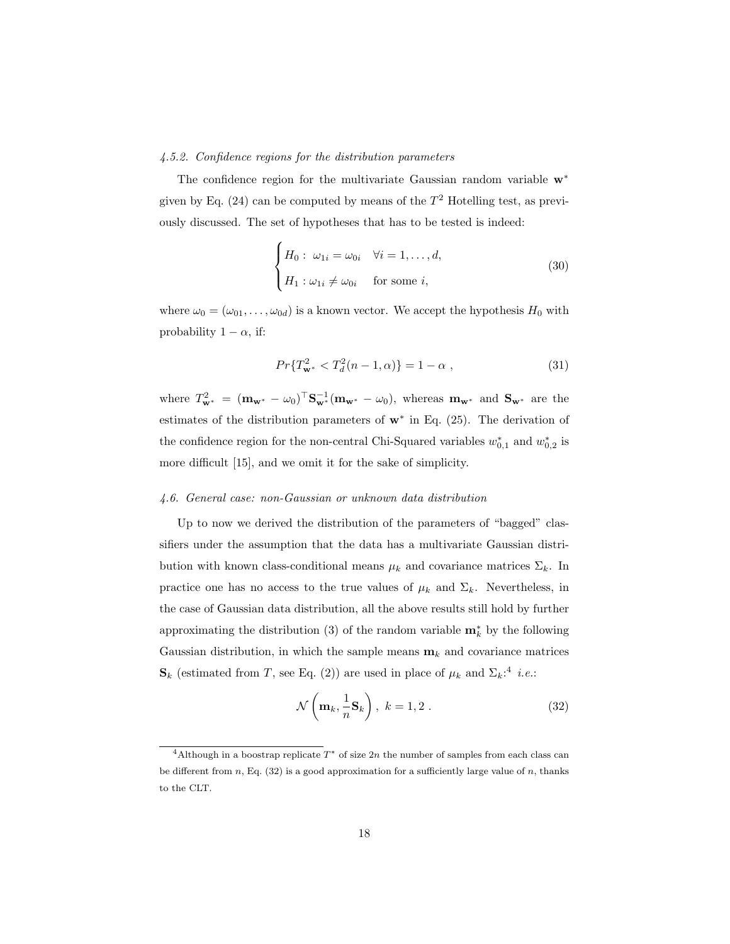#### 4.5.2. Confidence regions for the distribution parameters

The confidence region for the multivariate Gaussian random variable  $w^*$ given by Eq.  $(24)$  can be computed by means of the  $T<sup>2</sup>$  Hotelling test, as previously discussed. The set of hypotheses that has to be tested is indeed:

$$
\begin{cases}\nH_0: \ \omega_{1i} = \omega_{0i} & \forall i = 1, \dots, d, \\
H_1: \omega_{1i} \neq \omega_{0i} & \text{for some } i,\n\end{cases}
$$
\n(30)

where  $\omega_0 = (\omega_{01}, \dots, \omega_{0d})$  is a known vector. We accept the hypothesis  $H_0$  with probability  $1 - \alpha$ , if:

$$
Pr{Tw*2 < Td2(n - 1, \alpha)} = 1 - \alpha ,
$$
\n(31)

where  $T_{\mathbf{w}^*}^2 = (\mathbf{m}_{\mathbf{w}^*} - \omega_0)^T \mathbf{S}_{\mathbf{w}^*}^{-1} (\mathbf{m}_{\mathbf{w}^*} - \omega_0)$ , whereas  $\mathbf{m}_{\mathbf{w}^*}$  and  $\mathbf{S}_{\mathbf{w}^*}$  are the estimates of the distribution parameters of w<sup>∗</sup> in Eq. (25). The derivation of the confidence region for the non-central Chi-Squared variables  $w_{0,1}^*$  and  $w_{0,2}^*$  is more difficult [15], and we omit it for the sake of simplicity.

#### 4.6. General case: non-Gaussian or unknown data distribution

Up to now we derived the distribution of the parameters of "bagged" classifiers under the assumption that the data has a multivariate Gaussian distribution with known class-conditional means  $\mu_k$  and covariance matrices  $\Sigma_k$ . In practice one has no access to the true values of  $\mu_k$  and  $\Sigma_k$ . Nevertheless, in the case of Gaussian data distribution, all the above results still hold by further approximating the distribution (3) of the random variable  $\mathbf{m}_{k}^{*}$  by the following Gaussian distribution, in which the sample means  $\mathbf{m}_k$  and covariance matrices  $\mathbf{S}_k$  (estimated from T, see Eq. (2)) are used in place of  $\mu_k$  and  $\Sigma_k$ <sup>4</sup> *i.e.*:

$$
\mathcal{N}\left(\mathbf{m}_k, \frac{1}{n}\mathbf{S}_k\right), \ k = 1, 2. \tag{32}
$$

 $4$ Although in a boostrap replicate  $T^*$  of size  $2n$  the number of samples from each class can be different from  $n$ , Eq. (32) is a good approximation for a sufficiently large value of  $n$ , thanks to the CLT.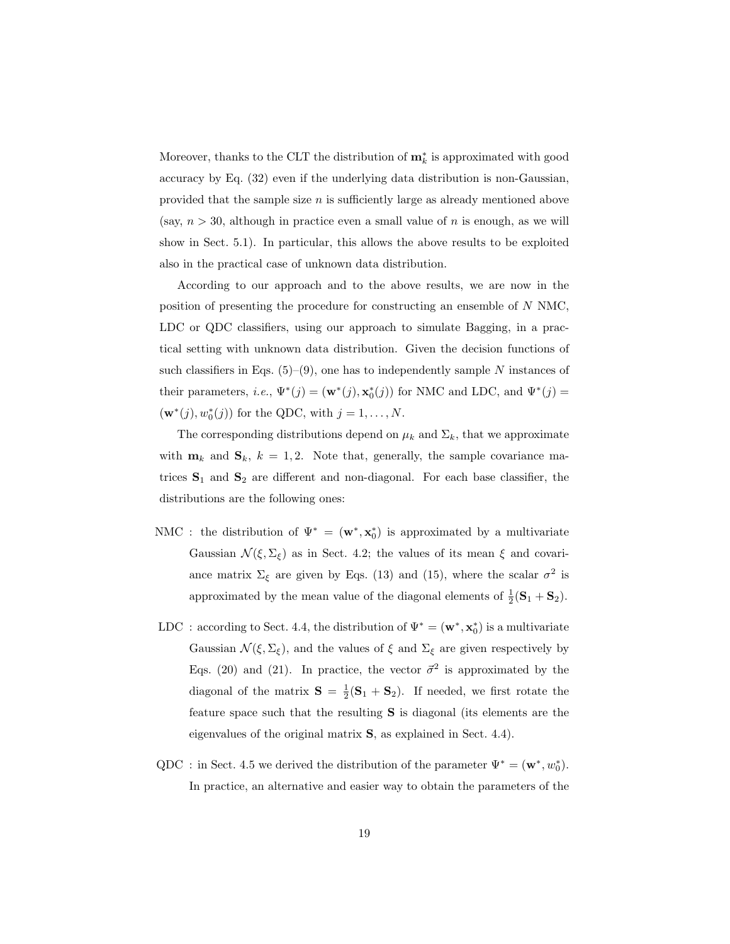Moreover, thanks to the CLT the distribution of  $\mathbf{m}_k^*$  is approximated with good accuracy by Eq. (32) even if the underlying data distribution is non-Gaussian, provided that the sample size  $n$  is sufficiently large as already mentioned above (say,  $n > 30$ , although in practice even a small value of n is enough, as we will show in Sect. 5.1). In particular, this allows the above results to be exploited also in the practical case of unknown data distribution.

According to our approach and to the above results, we are now in the position of presenting the procedure for constructing an ensemble of N NMC, LDC or QDC classifiers, using our approach to simulate Bagging, in a practical setting with unknown data distribution. Given the decision functions of such classifiers in Eqs.  $(5)-(9)$ , one has to independently sample N instances of their parameters, *i.e.*,  $\Psi^*(j) = (\mathbf{w}^*(j), \mathbf{x}_0^*(j))$  for NMC and LDC, and  $\Psi^*(j) =$  $(\mathbf{w}^*(j), w_0^*(j))$  for the QDC, with  $j = 1, ..., N$ .

The corresponding distributions depend on  $\mu_k$  and  $\Sigma_k$ , that we approximate with  $\mathbf{m}_k$  and  $\mathbf{S}_k$ ,  $k = 1, 2$ . Note that, generally, the sample covariance matrices  $S_1$  and  $S_2$  are different and non-diagonal. For each base classifier, the distributions are the following ones:

- NMC : the distribution of  $\Psi^* = (\mathbf{w}^*, \mathbf{x}_0^*)$  is approximated by a multivariate Gaussian  $\mathcal{N}(\xi, \Sigma_{\xi})$  as in Sect. 4.2; the values of its mean  $\xi$  and covariance matrix  $\Sigma_{\xi}$  are given by Eqs. (13) and (15), where the scalar  $\sigma^2$  is approximated by the mean value of the diagonal elements of  $\frac{1}{2}(\mathbf{S}_1 + \mathbf{S}_2)$ .
- LDC : according to Sect. 4.4, the distribution of  $\Psi^* = (\mathbf{w}^*, \mathbf{x}_0^*)$  is a multivariate Gaussian  $\mathcal{N}(\xi, \Sigma_{\xi})$ , and the values of  $\xi$  and  $\Sigma_{\xi}$  are given respectively by Eqs. (20) and (21). In practice, the vector  $\vec{\sigma}^2$  is approximated by the diagonal of the matrix  $S = \frac{1}{2}(S_1 + S_2)$ . If needed, we first rotate the feature space such that the resulting S is diagonal (its elements are the eigenvalues of the original matrix S, as explained in Sect. 4.4).
- QDC : in Sect. 4.5 we derived the distribution of the parameter  $\Psi^* = (\mathbf{w}^*, w_0^*)$ . In practice, an alternative and easier way to obtain the parameters of the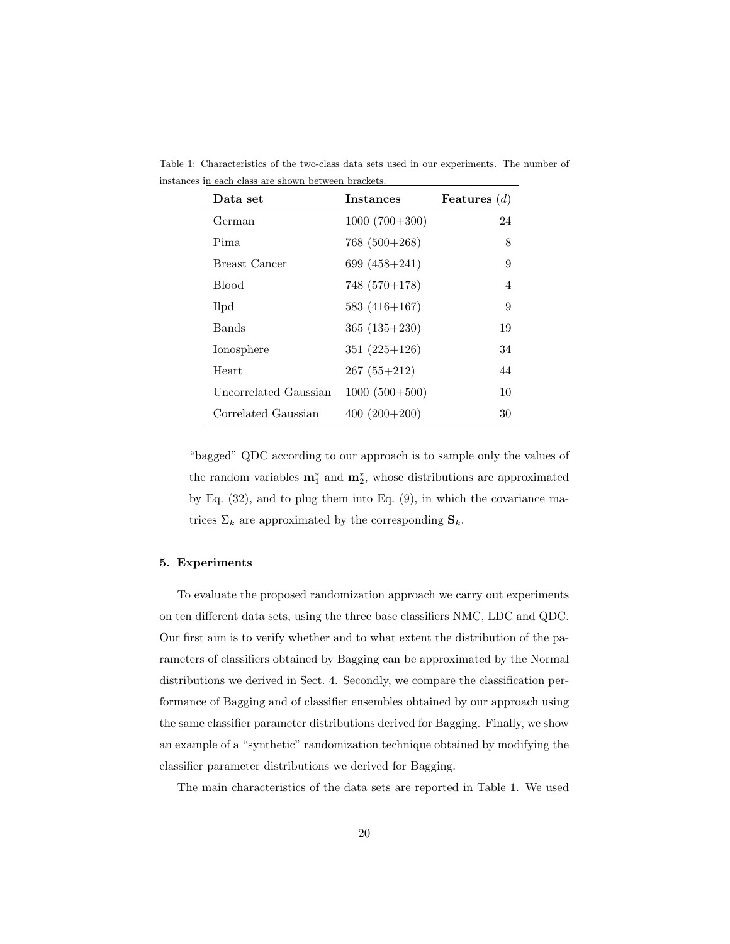| Data set              | <b>Instances</b> | Features $(d)$ |
|-----------------------|------------------|----------------|
| German                | $1000(700+300)$  | 24             |
| Pima.                 | $768(500+268)$   | 8              |
| Breast Cancer         | $699(458+241)$   | 9              |
| <b>Blood</b>          | $748(570+178)$   | 4              |
| Ilpd                  | $583(416+167)$   | 9              |
| Bands                 | $365(135+230)$   | 19             |
| Ionosphere            | $351(225+126)$   | 34             |
| Heart                 | $267(55+212)$    | 44             |
| Uncorrelated Gaussian | $1000(500+500)$  | 10             |
| Correlated Gaussian   | $400(200+200)$   | 30             |

Table 1: Characteristics of the two-class data sets used in our experiments. The number of instances in each class are shown between brackets.

"bagged" QDC according to our approach is to sample only the values of the random variables  $\mathbf{m}_1^*$  and  $\mathbf{m}_2^*$ , whose distributions are approximated by Eq. (32), and to plug them into Eq. (9), in which the covariance matrices  $\Sigma_k$  are approximated by the corresponding  $\mathbf{S}_k$ .

#### 5. Experiments

To evaluate the proposed randomization approach we carry out experiments on ten different data sets, using the three base classifiers NMC, LDC and QDC. Our first aim is to verify whether and to what extent the distribution of the parameters of classifiers obtained by Bagging can be approximated by the Normal distributions we derived in Sect. 4. Secondly, we compare the classification performance of Bagging and of classifier ensembles obtained by our approach using the same classifier parameter distributions derived for Bagging. Finally, we show an example of a "synthetic" randomization technique obtained by modifying the classifier parameter distributions we derived for Bagging.

The main characteristics of the data sets are reported in Table 1. We used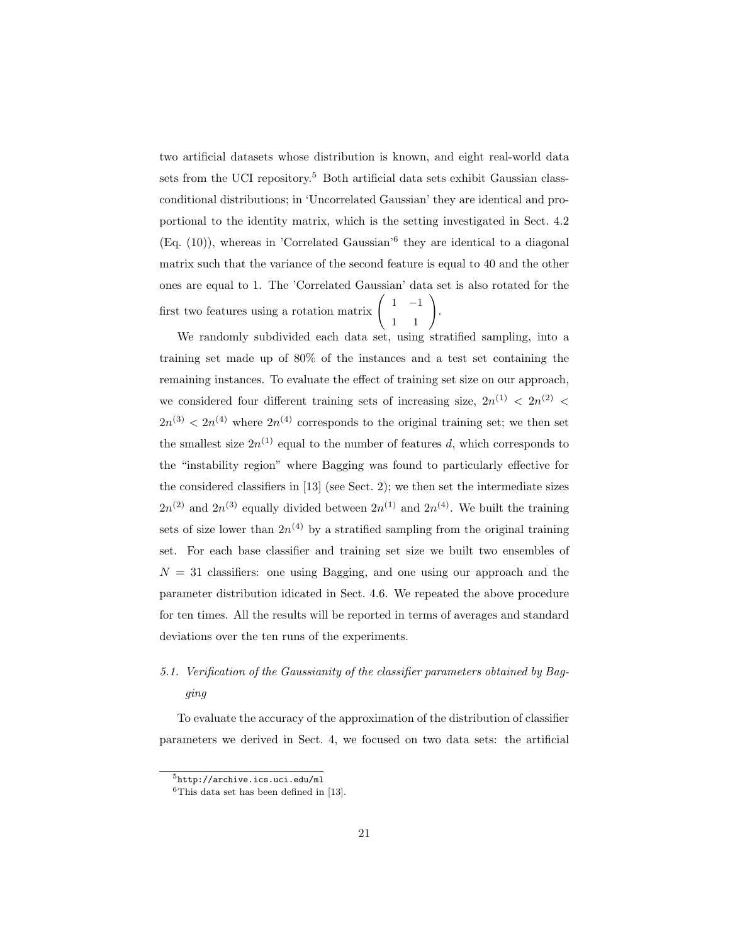two artificial datasets whose distribution is known, and eight real-world data sets from the UCI repository.<sup>5</sup> Both artificial data sets exhibit Gaussian classconditional distributions; in 'Uncorrelated Gaussian' they are identical and proportional to the identity matrix, which is the setting investigated in Sect. 4.2  $(Eq. (10))$ , whereas in 'Correlated Gaussian'<sup>6</sup> they are identical to a diagonal matrix such that the variance of the second feature is equal to 40 and the other ones are equal to 1. The 'Correlated Gaussian' data set is also rotated for the first two features using a rotation matrix  $\begin{pmatrix} 1 & -1 \\ 1 & 1 \end{pmatrix}$ .

We randomly subdivided each data set, using stratified sampling, into a training set made up of 80% of the instances and a test set containing the remaining instances. To evaluate the effect of training set size on our approach, we considered four different training sets of increasing size,  $2n^{(1)} < 2n^{(2)} <$  $2n^{(3)} < 2n^{(4)}$  where  $2n^{(4)}$  corresponds to the original training set; we then set the smallest size  $2n^{(1)}$  equal to the number of features d, which corresponds to the "instability region" where Bagging was found to particularly effective for the considered classifiers in [13] (see Sect. 2); we then set the intermediate sizes  $2n^{(2)}$  and  $2n^{(3)}$  equally divided between  $2n^{(1)}$  and  $2n^{(4)}$ . We built the training sets of size lower than  $2n^{(4)}$  by a stratified sampling from the original training set. For each base classifier and training set size we built two ensembles of  $N = 31$  classifiers: one using Bagging, and one using our approach and the parameter distribution idicated in Sect. 4.6. We repeated the above procedure for ten times. All the results will be reported in terms of averages and standard deviations over the ten runs of the experiments.

## 5.1. Verification of the Gaussianity of the classifier parameters obtained by Bagging

To evaluate the accuracy of the approximation of the distribution of classifier parameters we derived in Sect. 4, we focused on two data sets: the artificial

 $5$ http://archive.ics.uci.edu/ml

 $6$ This data set has been defined in [13].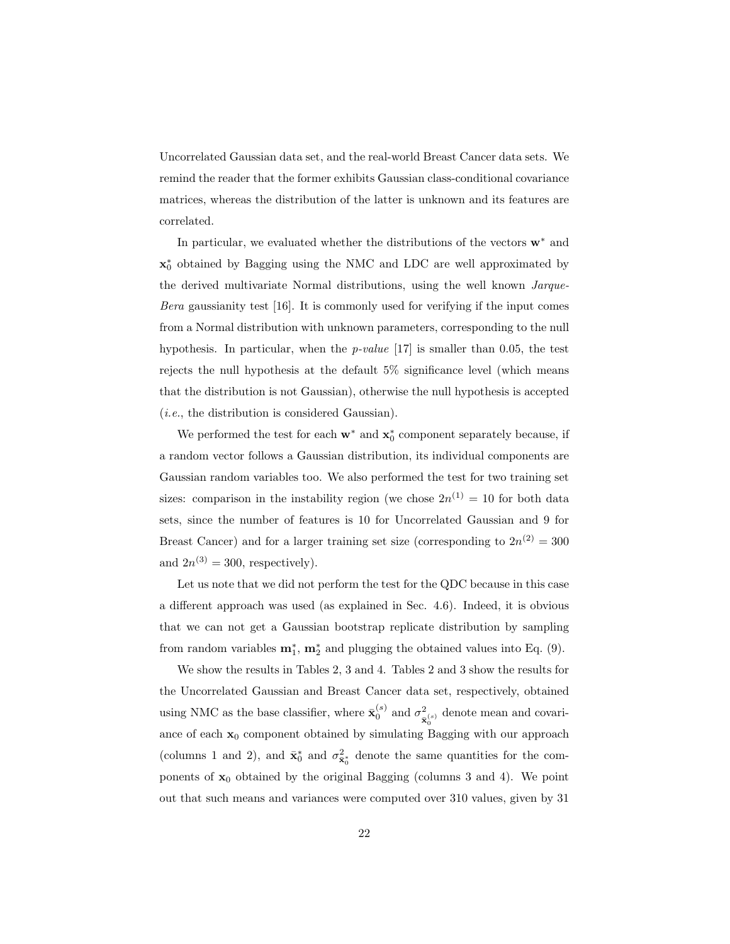Uncorrelated Gaussian data set, and the real-world Breast Cancer data sets. We remind the reader that the former exhibits Gaussian class-conditional covariance matrices, whereas the distribution of the latter is unknown and its features are correlated.

In particular, we evaluated whether the distributions of the vectors w<sup>∗</sup> and  $\mathbf{x}_0^*$  obtained by Bagging using the NMC and LDC are well approximated by the derived multivariate Normal distributions, using the well known *Jarque*-Bera gaussianity test [16]. It is commonly used for verifying if the input comes from a Normal distribution with unknown parameters, corresponding to the null hypothesis. In particular, when the *p-value* [17] is smaller than 0.05, the test rejects the null hypothesis at the default 5% significance level (which means that the distribution is not Gaussian), otherwise the null hypothesis is accepted (i.e., the distribution is considered Gaussian).

We performed the test for each  $\mathbf{w}^*$  and  $\mathbf{x}_0^*$  component separately because, if a random vector follows a Gaussian distribution, its individual components are Gaussian random variables too. We also performed the test for two training set sizes: comparison in the instability region (we chose  $2n^{(1)} = 10$  for both data sets, since the number of features is 10 for Uncorrelated Gaussian and 9 for Breast Cancer) and for a larger training set size (corresponding to  $2n^{(2)} = 300$ and  $2n^{(3)} = 300$ , respectively).

Let us note that we did not perform the test for the QDC because in this case a different approach was used (as explained in Sec. 4.6). Indeed, it is obvious that we can not get a Gaussian bootstrap replicate distribution by sampling from random variables  $\mathbf{m}_1^*$ ,  $\mathbf{m}_2^*$  and plugging the obtained values into Eq. (9).

We show the results in Tables 2, 3 and 4. Tables 2 and 3 show the results for the Uncorrelated Gaussian and Breast Cancer data set, respectively, obtained using NMC as the base classifier, where  $\bar{\mathbf{x}}_0^{(s)}$  and  $\sigma_{\bar{\mathbf{x}}}^2$  $\frac{2}{\bar{\mathbf{x}}_0^{(s)}}$  denote mean and covariance of each  $x_0$  component obtained by simulating Bagging with our approach (columns 1 and 2), and  $\bar{\mathbf{x}}_0^*$  and  $\sigma_{\bar{\mathbf{x}}_0^*}^2$  denote the same quantities for the components of  $x_0$  obtained by the original Bagging (columns 3 and 4). We point out that such means and variances were computed over 310 values, given by 31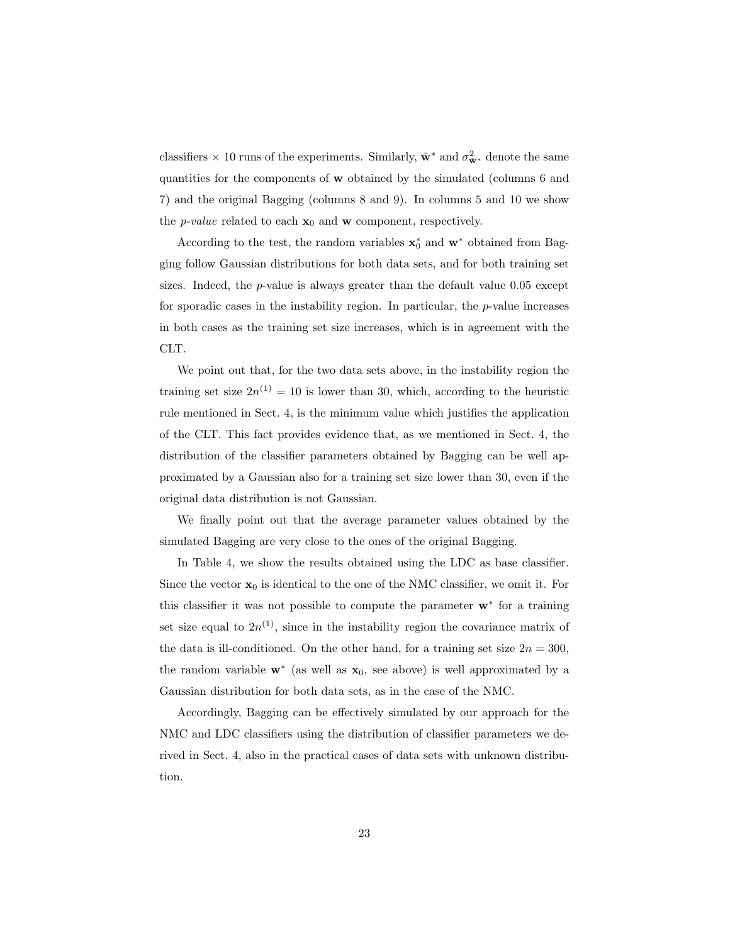classifiers  $\times$  10 runs of the experiments. Similarly,  $\bar{\mathbf{w}}^*$  and  $\sigma_{\bar{\mathbf{w}}^*}^2$  denote the same quantities for the components of w obtained by the simulated (columns 6 and 7) and the original Bagging (columns 8 and 9). In columns 5 and 10 we show the *p-value* related to each  $x_0$  and w component, respectively.

According to the test, the random variables  $\mathbf{x}_0^*$  and  $\mathbf{w}^*$  obtained from Bagging follow Gaussian distributions for both data sets, and for both training set sizes. Indeed, the  $p$ -value is always greater than the default value 0.05 except for sporadic cases in the instability region. In particular, the  $p$ -value increases in both cases as the training set size increases, which is in agreement with the CLT.

We point out that, for the two data sets above, in the instability region the training set size  $2n^{(1)} = 10$  is lower than 30, which, according to the heuristic rule mentioned in Sect. 4, is the minimum value which justifies the application of the CLT. This fact provides evidence that, as we mentioned in Sect. 4, the distribution of the classifier parameters obtained by Bagging can be well approximated by a Gaussian also for a training set size lower than 30, even if the original data distribution is not Gaussian.

We finally point out that the average parameter values obtained by the simulated Bagging are very close to the ones of the original Bagging.

In Table 4, we show the results obtained using the LDC as base classifier. Since the vector  $x_0$  is identical to the one of the NMC classifier, we omit it. For this classifier it was not possible to compute the parameter w<sup>∗</sup> for a training set size equal to  $2n^{(1)}$ , since in the instability region the covariance matrix of the data is ill-conditioned. On the other hand, for a training set size  $2n = 300$ , the random variable  $\mathbf{w}^*$  (as well as  $\mathbf{x}_0$ , see above) is well approximated by a Gaussian distribution for both data sets, as in the case of the NMC.

Accordingly, Bagging can be effectively simulated by our approach for the NMC and LDC classifiers using the distribution of classifier parameters we derived in Sect. 4, also in the practical cases of data sets with unknown distribution.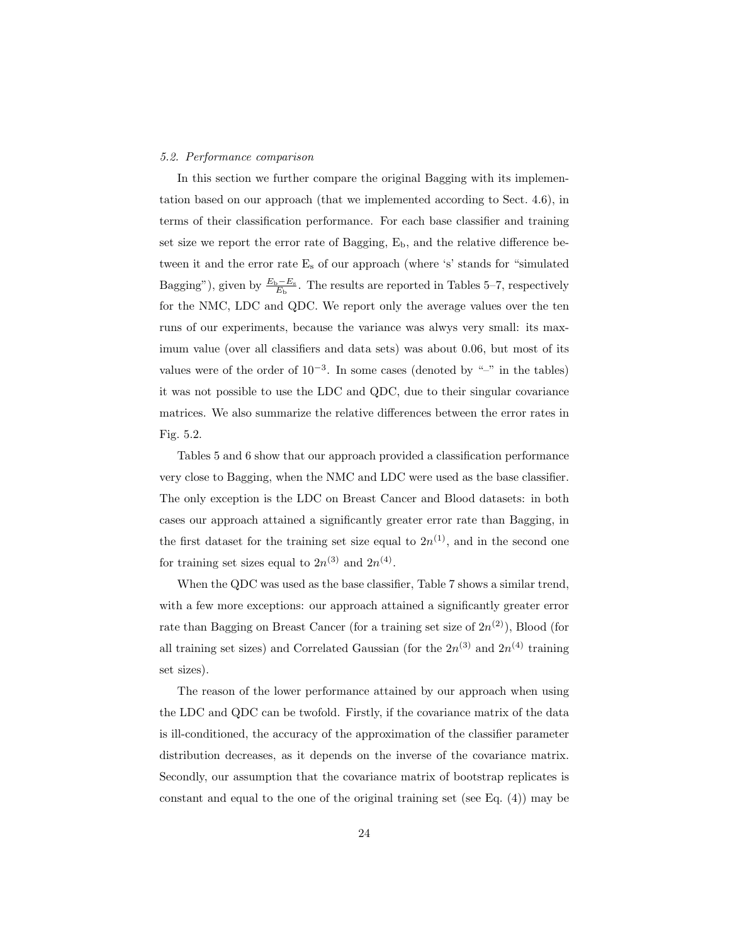## 5.2. Performance comparison

In this section we further compare the original Bagging with its implementation based on our approach (that we implemented according to Sect. 4.6), in terms of their classification performance. For each base classifier and training set size we report the error rate of Bagging,  $E<sub>b</sub>$ , and the relative difference between it and the error rate E<sup>s</sup> of our approach (where 's' stands for "simulated Bagging"), given by  $\frac{E_b - E_s}{E_b}$ . The results are reported in Tables 5–7, respectively for the NMC, LDC and QDC. We report only the average values over the ten runs of our experiments, because the variance was alwys very small: its maximum value (over all classifiers and data sets) was about 0.06, but most of its values were of the order of  $10^{-3}$ . In some cases (denoted by "–" in the tables) it was not possible to use the LDC and QDC, due to their singular covariance matrices. We also summarize the relative differences between the error rates in Fig. 5.2.

Tables 5 and 6 show that our approach provided a classification performance very close to Bagging, when the NMC and LDC were used as the base classifier. The only exception is the LDC on Breast Cancer and Blood datasets: in both cases our approach attained a significantly greater error rate than Bagging, in the first dataset for the training set size equal to  $2n^{(1)}$ , and in the second one for training set sizes equal to  $2n^{(3)}$  and  $2n^{(4)}$ .

When the QDC was used as the base classifier, Table 7 shows a similar trend, with a few more exceptions: our approach attained a significantly greater error rate than Bagging on Breast Cancer (for a training set size of  $2n^{(2)}$ ), Blood (for all training set sizes) and Correlated Gaussian (for the  $2n^{(3)}$  and  $2n^{(4)}$  training set sizes).

The reason of the lower performance attained by our approach when using the LDC and QDC can be twofold. Firstly, if the covariance matrix of the data is ill-conditioned, the accuracy of the approximation of the classifier parameter distribution decreases, as it depends on the inverse of the covariance matrix. Secondly, our assumption that the covariance matrix of bootstrap replicates is constant and equal to the one of the original training set (see Eq. (4)) may be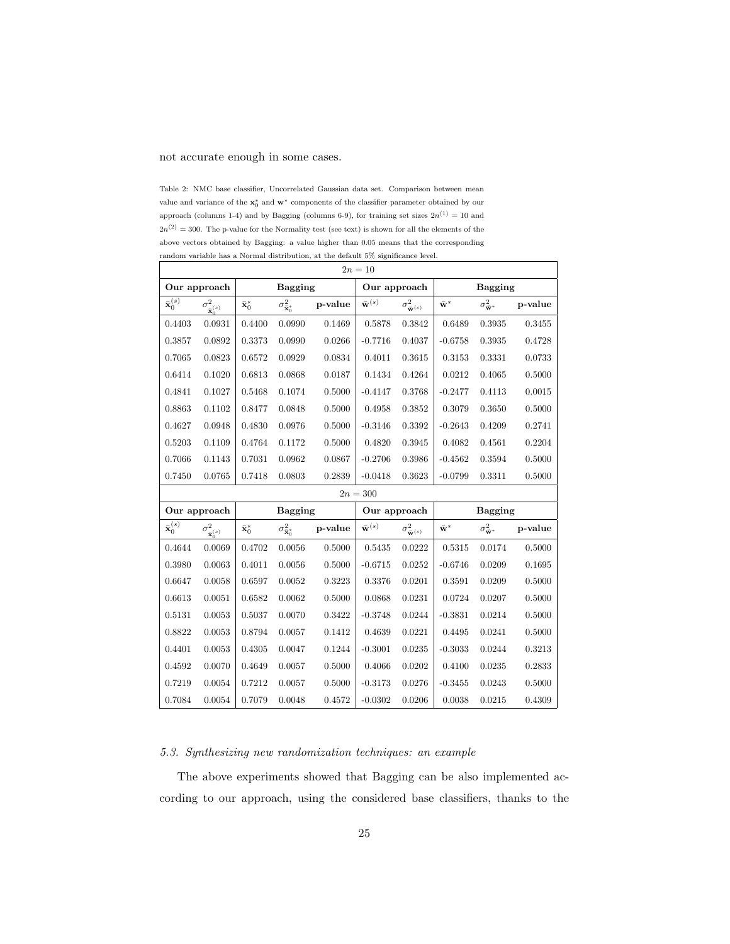## not accurate enough in some cases.

Table 2: NMC base classifier, Uncorrelated Gaussian data set. Comparison between mean value and variance of the  $\mathbf{x}_0^*$  and  $\mathbf{w}^*$  components of the classifier parameter obtained by our approach (columns 1-4) and by Bagging (columns 6-9), for training set sizes  $2n^{(1)} = 10$  and  $2n^{(2)} = 300$ . The p-value for the Normality test (see text) is shown for all the elements of the above vectors obtained by Bagging: a value higher than 0.05 means that the corresponding random variable has a Normal distribution, at the default 5% significance level.

| $2n = 10$                  |                                                     |                        |                                     |         |                                |                                     |                      |                                 |         |
|----------------------------|-----------------------------------------------------|------------------------|-------------------------------------|---------|--------------------------------|-------------------------------------|----------------------|---------------------------------|---------|
|                            | Our approach                                        |                        | <b>Bagging</b>                      |         | Our approach                   |                                     | <b>Bagging</b>       |                                 |         |
| $\bar{\mathbf{x}}_0^{(s)}$ | $\sigma^2_{\bar{\mathbf{x}}^{(s)}_{0}}$             | $\bar{\mathbf{x}}_0^*$ | $\sigma_{\bar{{\mathbf{x}}}_0^*}^2$ | p-value | $\bar{\mathbf{w}}^{(s)}$       | $\sigma^2_{\bar{\mathbf{w}}^{(s)}}$ | $\bar{\mathbf{w}}^*$ | $\sigma_{\bar{\mathbf{w}}^*}^2$ | p-value |
| 0.4403                     | 0.0931                                              | 0.4400                 | 0.0990                              | 0.1469  | 0.5878                         | 0.3842                              | 0.6489               | 0.3935                          | 0.3455  |
| 0.3857                     | 0.0892                                              | 0.3373                 | 0.0990                              | 0.0266  | $-0.7716$                      | 0.4037                              | $-0.6758$            | 0.3935                          | 0.4728  |
| 0.7065                     | 0.0823                                              | 0.6572                 | 0.0929                              | 0.0834  | 0.4011                         | 0.3615                              | 0.3153               | 0.3331                          | 0.0733  |
| 0.6414                     | 0.1020                                              | 0.6813                 | 0.0868                              | 0.0187  | 0.1434                         | 0.4264                              | 0.0212               | 0.4065                          | 0.5000  |
| 0.4841                     | 0.1027                                              | 0.5468                 | 0.1074                              | 0.5000  | $-0.4147$                      | 0.3768                              | $-0.2477$            | 0.4113                          | 0.0015  |
| 0.8863                     | 0.1102                                              | 0.8477                 | 0.0848                              | 0.5000  | 0.4958                         | 0.3852                              | 0.3079               | 0.3650                          | 0.5000  |
| 0.4627                     | 0.0948                                              | 0.4830                 | 0.0976                              | 0.5000  | $-0.3146$                      | 0.3392                              | $-0.2643$            | 0.4209                          | 0.2741  |
| 0.5203                     | 0.1109                                              | 0.4764                 | 0.1172                              | 0.5000  | 0.4820                         | 0.3945                              | 0.4082               | 0.4561                          | 0.2204  |
| 0.7066                     | 0.1143                                              | 0.7031                 | 0.0962                              | 0.0867  | $-0.2706$                      | 0.3986                              | $-0.4562$            | 0.3594                          | 0.5000  |
| 0.7450                     | 0.0765                                              | 0.7418                 | 0.0803                              | 0.2839  | $-0.0418$                      | 0.3623                              | $-0.0799$            | 0.3311                          | 0.5000  |
|                            |                                                     |                        |                                     |         | $2n = 300$                     |                                     |                      |                                 |         |
|                            | Our approach                                        |                        | <b>Bagging</b>                      |         | <b>Bagging</b><br>Our approach |                                     |                      |                                 |         |
| $\bar{\mathbf{x}}_0^{(s)}$ | $\sigma^2_{\underline{\bar{\mathbf{x}}^{(s)}_{0}}}$ | $\bar{\mathbf{x}}_0^*$ | $\sigma^2_{\bar{\mathbf{x}}^*_0}$   | p-value | $\bar{\mathbf{w}}^{(s)}$       | $\sigma^2_{\bar{\mathbf{w}}^{(s)}}$ | $\bar{\mathbf{w}}^*$ | $\sigma^2_{\bar{\mathbf{w}}^*}$ | p-value |
| 0.4644                     | 0.0069                                              | 0.4702                 | 0.0056                              | 0.5000  | 0.5435                         | 0.0222                              | 0.5315               | 0.0174                          | 0.5000  |
| 0.3980                     | 0.0063                                              | 0.4011                 | 0.0056                              | 0.5000  | $-0.6715$                      | 0.0252                              | $-0.6746$            | 0.0209                          | 0.1695  |
| 0.6647                     | 0.0058                                              | 0.6597                 | 0.0052                              | 0.3223  | 0.3376                         | 0.0201                              | 0.3591               | 0.0209                          | 0.5000  |
| 0.6613                     | 0.0051                                              | 0.6582                 | 0.0062                              | 0.5000  | 0.0868                         | 0.0231                              | 0.0724               | 0.0207                          | 0.5000  |
| 0.5131                     | 0.0053                                              | 0.5037                 | 0.0070                              | 0.3422  | $-0.3748$                      | 0.0244                              | $-0.3831$            | 0.0214                          | 0.5000  |
| 0.8822                     | 0.0053                                              | 0.8794                 | 0.0057                              | 0.1412  | 0.4639                         | 0.0221                              | 0.4495               | 0.0241                          | 0.5000  |
| 0.4401                     | 0.0053                                              | 0.4305                 | 0.0047                              | 0.1244  | $-0.3001$                      | 0.0235                              | $-0.3033$            | 0.0244                          | 0.3213  |
| 0.4592                     | 0.0070                                              | 0.4649                 | 0.0057                              | 0.5000  | 0.4066                         | 0.0202                              | 0.4100               | 0.0235                          | 0.2833  |
| 0.7219                     | 0.0054                                              | 0.7212                 | 0.0057                              | 0.5000  | $-0.3173$                      | 0.0276                              | $-0.3455$            | 0.0243                          | 0.5000  |
| 0.7084                     | 0.0054                                              | 0.7079                 | 0.0048                              | 0.4572  | $-0.0302$                      | 0.0206                              | 0.0038               | 0.0215                          | 0.4309  |

## 5.3. Synthesizing new randomization techniques: an example

The above experiments showed that Bagging can be also implemented according to our approach, using the considered base classifiers, thanks to the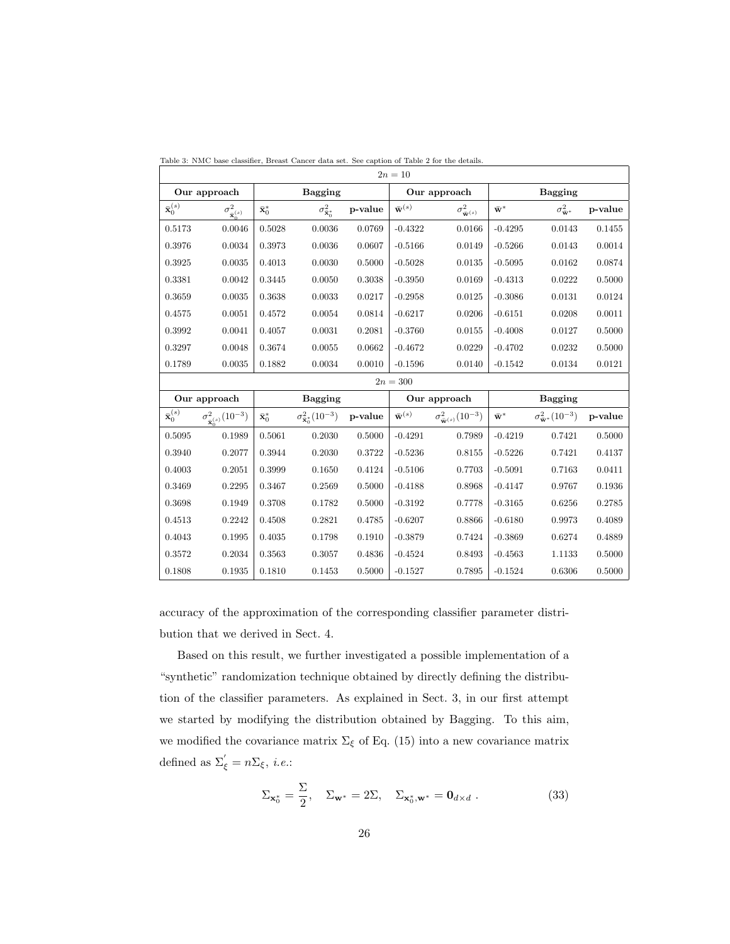| $2n = 10$                  |                                                |                        |                                            |         |                          |                                              |                      |                                          |         |
|----------------------------|------------------------------------------------|------------------------|--------------------------------------------|---------|--------------------------|----------------------------------------------|----------------------|------------------------------------------|---------|
|                            | Our approach                                   |                        | <b>Bagging</b>                             |         |                          | Our approach                                 |                      | <b>Bagging</b>                           |         |
| $\bar{\mathbf{x}}_0^{(s)}$ | $\sigma^2_{\bar{\mathbf{x}}^{(s)}_{0}}$        | $\bar{\mathbf{x}}_0^*$ | $\sigma^2_{\bar{\mathbf{x}}^*_0}$          | p-value | $\bar{\mathbf{w}}^{(s)}$ | $\sigma^2_{\bar{\mathbf{w}}^{(s)}}$          | $\bar{\mathbf{w}}^*$ | $\sigma_{\bar{\mathbf{w}}^*}^2$          | p-value |
| 0.5173                     | 0.0046                                         | 0.5028                 | 0.0036                                     | 0.0769  | $-0.4322$                | 0.0166                                       | $-0.4295$            | 0.0143                                   | 0.1455  |
| 0.3976                     | 0.0034                                         | 0.3973                 | 0.0036                                     | 0.0607  | $-0.5166$                | 0.0149                                       | $-0.5266$            | 0.0143                                   | 0.0014  |
| 0.3925                     | 0.0035                                         | 0.4013                 | 0.0030                                     | 0.5000  | $-0.5028$                | 0.0135                                       | $-0.5095$            | 0.0162                                   | 0.0874  |
| 0.3381                     | 0.0042                                         | 0.3445                 | 0.0050                                     | 0.3038  | $-0.3950$                | 0.0169                                       | $-0.4313$            | 0.0222                                   | 0.5000  |
| 0.3659                     | 0.0035                                         | 0.3638                 | 0.0033                                     | 0.0217  | $-0.2958$                | 0.0125                                       | $-0.3086$            | 0.0131                                   | 0.0124  |
| 0.4575                     | 0.0051                                         | 0.4572                 | 0.0054                                     | 0.0814  | $-0.6217$                | 0.0206                                       | $-0.6151$            | 0.0208                                   | 0.0011  |
| 0.3992                     | 0.0041                                         | 0.4057                 | 0.0031                                     | 0.2081  | $-0.3760$                | 0.0155                                       | $-0.4008$            | 0.0127                                   | 0.5000  |
| 0.3297                     | 0.0048                                         | 0.3674                 | 0.0055                                     | 0.0662  | $-0.4672$                | 0.0229                                       | $-0.4702$            | 0.0232                                   | 0.5000  |
| 0.1789                     | 0.0035                                         | 0.1882                 | 0.0034                                     | 0.0010  | $-0.1596$                | 0.0140                                       | $-0.1542$            | 0.0134                                   | 0.0121  |
|                            |                                                |                        |                                            |         | $2n = 300$               |                                              |                      |                                          |         |
|                            | Our approach                                   |                        | <b>Bagging</b>                             |         |                          | Our approach                                 |                      | <b>Bagging</b>                           |         |
| $\bar{\mathbf{x}}^{(s)}_0$ | $\sigma_{\bar{\mathbf{x}}_0^{(s)}}^2(10^{-3})$ | $\bar{\mathbf{x}}_0^*$ | $\sigma_{\bar{\mathbf{x}}_0^*}^2(10^{-3})$ | p-value | $\bar{\mathbf{w}}^{(s)}$ | $\sigma_{\bar{\mathbf{w}}^{(s)}}^2(10^{-3})$ | $\bar{\mathbf{w}}^*$ | $\sigma^2_{\bar{\mathbf{w}}^*}(10^{-3})$ | p-value |
| 0.5095                     | 0.1989                                         | 0.5061                 | 0.2030                                     | 0.5000  | $-0.4291$                | 0.7989                                       | $-0.4219$            | 0.7421                                   | 0.5000  |
| 0.3940                     | 0.2077                                         | 0.3944                 | 0.2030                                     | 0.3722  | $-0.5236$                | 0.8155                                       | $-0.5226$            | 0.7421                                   | 0.4137  |
| 0.4003                     | 0.2051                                         | 0.3999                 | 0.1650                                     | 0.4124  | $-0.5106$                | 0.7703                                       | $-0.5091$            | 0.7163                                   | 0.0411  |
| 0.3469                     | 0.2295                                         | 0.3467                 | 0.2569                                     | 0.5000  | $-0.4188$                | 0.8968                                       | $-0.4147$            | 0.9767                                   | 0.1936  |
| 0.3698                     | 0.1949                                         | 0.3708                 | 0.1782                                     | 0.5000  | $-0.3192$                | 0.7778                                       | $-0.3165$            | 0.6256                                   | 0.2785  |
| 0.4513                     | 0.2242                                         | 0.4508                 | 0.2821                                     | 0.4785  | $-0.6207$                | 0.8866                                       | $-0.6180$            | 0.9973                                   | 0.4089  |
| 0.4043                     | 0.1995                                         | 0.4035                 | 0.1798                                     | 0.1910  | $-0.3879$                | 0.7424                                       | $-0.3869$            | 0.6274                                   | 0.4889  |
| 0.3572                     | 0.2034                                         | 0.3563                 | 0.3057                                     | 0.4836  | $-0.4524$                | 0.8493                                       | $-0.4563$            | 1.1133                                   | 0.5000  |
| 0.1808                     | 0.1935                                         | 0.1810                 | 0.1453                                     | 0.5000  | $-0.1527$                | 0.7895                                       | $-0.1524$            | 0.6306                                   | 0.5000  |

Table 3: NMC base classifier, Breast Cancer data set. See caption of Table 2 for the details.

accuracy of the approximation of the corresponding classifier parameter distribution that we derived in Sect. 4.

Based on this result, we further investigated a possible implementation of a "synthetic" randomization technique obtained by directly defining the distribution of the classifier parameters. As explained in Sect. 3, in our first attempt we started by modifying the distribution obtained by Bagging. To this aim, we modified the covariance matrix  $\Sigma_{\xi}$  of Eq. (15) into a new covariance matrix defined as  $\Sigma'_{\xi} = n\Sigma_{\xi}$ , *i.e.*:

$$
\Sigma_{\mathbf{x}_0^*} = \frac{\Sigma}{2}, \quad \Sigma_{\mathbf{w}^*} = 2\Sigma, \quad \Sigma_{\mathbf{x}_0^*, \mathbf{w}^*} = \mathbf{0}_{d \times d} \ . \tag{33}
$$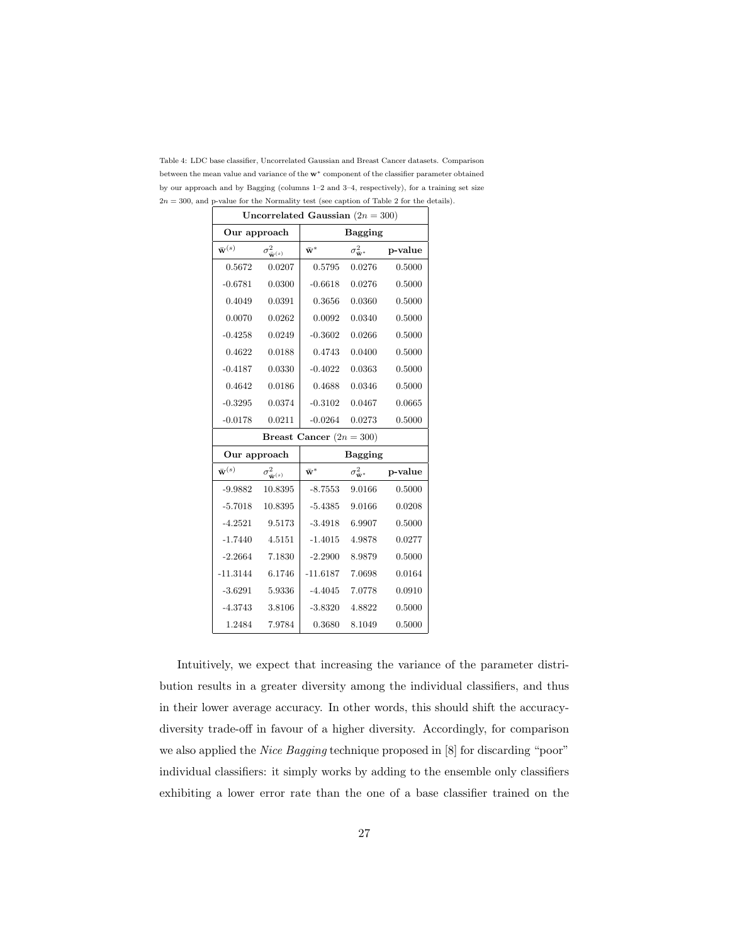| Uncorrelated Gaussian $(2n = 300)$ |                                     |                            |                |                                         |  |  |  |
|------------------------------------|-------------------------------------|----------------------------|----------------|-----------------------------------------|--|--|--|
|                                    | Our approach                        | <b>Bagging</b>             |                |                                         |  |  |  |
| $\bar{\mathbf{w}}^{(s)}$           | $\sigma^2_{\bar{\mathbf{w}}^{(s)}}$ | $\bar{\mathbf{w}}^*$       |                | $\sigma_{\bar{\mathbf{w}}^*}^2$ p-value |  |  |  |
| 0.5672                             | 0.0207                              | 0.5795                     | 0.0276         | 0.5000                                  |  |  |  |
| $-0.6781$                          | 0.0300                              | $-0.6618$                  | 0.0276         | 0.5000                                  |  |  |  |
| 0.4049                             | 0.0391                              | 0.3656                     | 0.0360         | 0.5000                                  |  |  |  |
| 0.0070                             | 0.0262                              | 0.0092                     | 0.0340         | 0.5000                                  |  |  |  |
| $-0.4258$                          | 0.0249                              | $-0.3602$                  | 0.0266         | 0.5000                                  |  |  |  |
| 0.4622                             | 0.0188                              | 0.4743                     | 0.0400         | 0.5000                                  |  |  |  |
| $-0.4187$                          | 0.0330                              | $-0.4022$                  | 0.0363         | 0.5000                                  |  |  |  |
| 0.4642                             | 0.0186                              | 0.4688                     | 0.0346         | 0.5000                                  |  |  |  |
| $-0.3295$                          | 0.0374                              | $-0.3102$                  | 0.0467         | 0.0665                                  |  |  |  |
| $-0.0178$                          | 0.0211                              | $-0.0264$                  | 0.0273         | 0.5000                                  |  |  |  |
|                                    |                                     | Breast Cancer $(2n = 300)$ |                |                                         |  |  |  |
|                                    | Our approach                        |                            | <b>Bagging</b> |                                         |  |  |  |
| $\bar{\mathbf{w}}^{(s)}$           | $\sigma^2_{\bar{\mathbf{w}}^{(s)}}$ | $\bar{\mathbf{w}}^*$       |                | $\sigma_{\bar{\mathbf{w}}^*}^2$ p-value |  |  |  |
| -9.9882                            | 10.8395                             | $-8.7553$                  | 9.0166         | 0.5000                                  |  |  |  |
| $-5.7018$                          | 10.8395                             | $-5.4385$                  | 9.0166         | 0.0208                                  |  |  |  |
| $-4.2521$                          | 9.5173                              | $-3.4918$                  | 6.9907         | 0.5000                                  |  |  |  |
| $-1.7440$                          | 4.5151                              | $-1.4015$                  | 4.9878         | 0.0277                                  |  |  |  |
| $-2.2664$                          | 7.1830                              | $-2.2900$                  | 8.9879         | 0.5000                                  |  |  |  |
| $-11.3144$                         | 6.1746                              | $-11.6187$                 | 7.0698         | 0.0164                                  |  |  |  |
| $-3.6291$                          | 5.9336                              | $-4.4045$                  | 7.0778         | 0.0910                                  |  |  |  |
| $-4.3743$                          | 3.8106                              | $-3.8320$                  | 4.8822         | 0.5000                                  |  |  |  |
| 1.2484                             | 7.9784                              | 0.3680                     | 8.1049         | 0.5000                                  |  |  |  |

Table 4: LDC base classifier, Uncorrelated Gaussian and Breast Cancer datasets. Comparison between the mean value and variance of the w<sup>∗</sup> component of the classifier parameter obtained by our approach and by Bagging (columns 1–2 and 3–4, respectively), for a training set size  $2n = 300$ , and p-value for the Normality test (see caption of Table 2 for the details).

Intuitively, we expect that increasing the variance of the parameter distribution results in a greater diversity among the individual classifiers, and thus in their lower average accuracy. In other words, this should shift the accuracydiversity trade-off in favour of a higher diversity. Accordingly, for comparison we also applied the *Nice Bagging* technique proposed in [8] for discarding "poor" individual classifiers: it simply works by adding to the ensemble only classifiers exhibiting a lower error rate than the one of a base classifier trained on the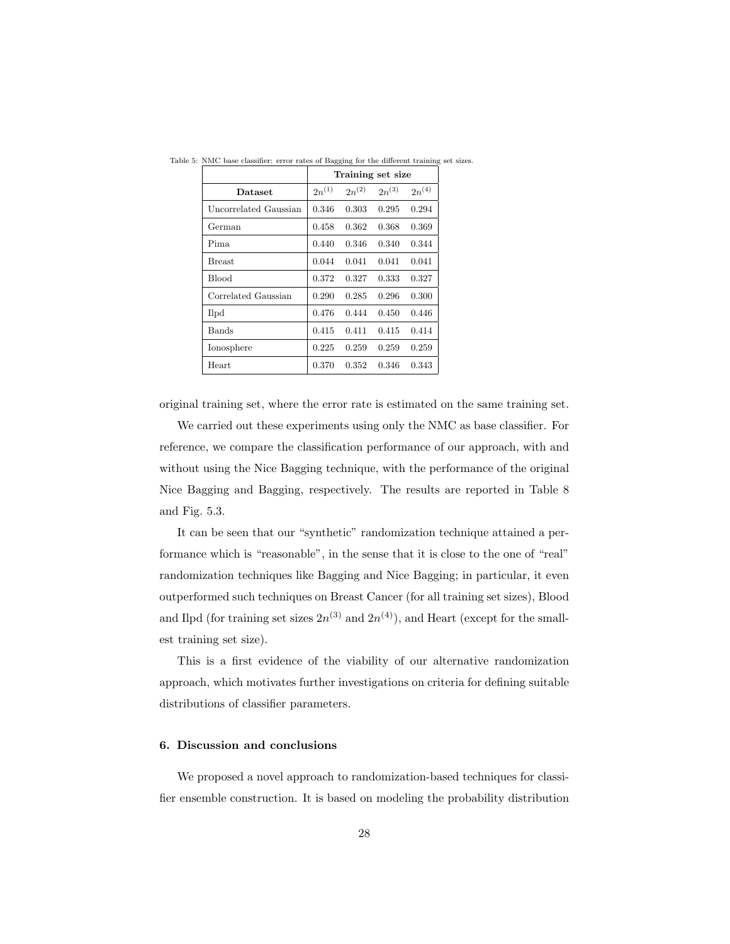|                       | Training set size |            |            |            |  |  |
|-----------------------|-------------------|------------|------------|------------|--|--|
| <b>Dataset</b>        | $2n^{(1)}$        | $2n^{(2)}$ | $2n^{(3)}$ | $2n^{(4)}$ |  |  |
| Uncorrelated Gaussian | 0.346             | 0.303      | 0.295      | 0.294      |  |  |
| German                | 0.458             | 0.362      | 0.368      | 0.369      |  |  |
| Pima                  | 0.440             | 0.346      | 0.340      | 0.344      |  |  |
| <b>Breast</b>         | 0.044             | 0.041      | 0.041      | 0.041      |  |  |
| <b>Blood</b>          | 0.372             | 0.327      | 0.333      | 0.327      |  |  |
| Correlated Gaussian   | 0.290             | 0.285      | 0.296      | 0.300      |  |  |
| <b>Ilpd</b>           | 0.476             | 0.444      | 0.450      | 0.446      |  |  |
| <b>Bands</b>          | 0.415             | 0.411      | 0.415      | 0.414      |  |  |
| Ionosphere            | 0.225             | 0.259      | 0.259      | 0.259      |  |  |
| Heart                 | 0.370             | 0.352      | 0.346      | 0.343      |  |  |

Table 5: NMC base classifier: error rates of Bagging for the different training set sizes.

original training set, where the error rate is estimated on the same training set.

We carried out these experiments using only the NMC as base classifier. For reference, we compare the classification performance of our approach, with and without using the Nice Bagging technique, with the performance of the original Nice Bagging and Bagging, respectively. The results are reported in Table 8 and Fig. 5.3.

It can be seen that our "synthetic" randomization technique attained a performance which is "reasonable", in the sense that it is close to the one of "real" randomization techniques like Bagging and Nice Bagging; in particular, it even outperformed such techniques on Breast Cancer (for all training set sizes), Blood and Ilpd (for training set sizes  $2n^{(3)}$  and  $2n^{(4)}$ ), and Heart (except for the smallest training set size).

This is a first evidence of the viability of our alternative randomization approach, which motivates further investigations on criteria for defining suitable distributions of classifier parameters.

## 6. Discussion and conclusions

We proposed a novel approach to randomization-based techniques for classifier ensemble construction. It is based on modeling the probability distribution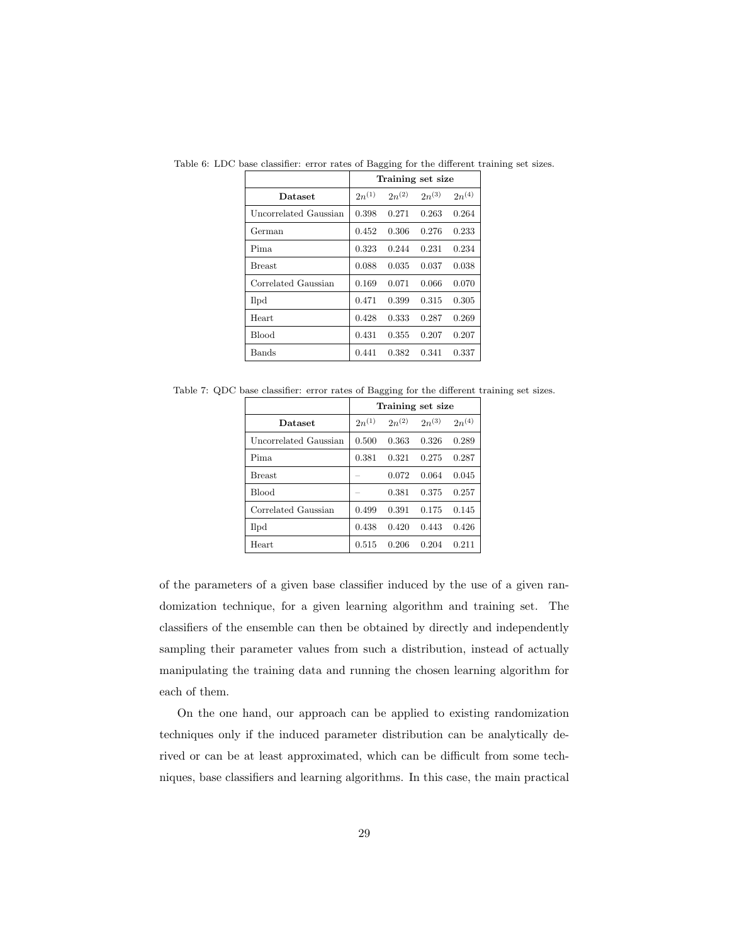|                       | Training set size |            |            |            |  |  |
|-----------------------|-------------------|------------|------------|------------|--|--|
| Dataset               | $2n^{(1)}$        | $2n^{(2)}$ | $2n^{(3)}$ | $2n^{(4)}$ |  |  |
| Uncorrelated Gaussian | 0.398             | 0.271      | 0.263      | 0.264      |  |  |
| German                | 0.452             | 0.306      | 0.276      | 0.233      |  |  |
| Pima.                 | 0.323             | 0.244      | 0.231      | 0.234      |  |  |
| <b>Breast</b>         | 0.088             | 0.035      | 0.037      | 0.038      |  |  |
| Correlated Gaussian   | 0.169             | 0.071      | 0.066      | 0.070      |  |  |
| <b>Ilpd</b>           | 0.471             | 0.399      | 0.315      | 0.305      |  |  |
| Heart                 | 0.428             | 0.333      | 0.287      | 0.269      |  |  |
| <b>Blood</b>          | 0.431             | 0.355      | 0.207      | 0.207      |  |  |
| <b>Bands</b>          | 0.441             | 0.382      | 0.341      | 0.337      |  |  |

Table 6: LDC base classifier: error rates of Bagging for the different training set sizes.

Table 7: QDC base classifier: error rates of Bagging for the different training set sizes.

| Training set size |            |            |            |  |  |
|-------------------|------------|------------|------------|--|--|
| $2n^{(1)}$        | $2n^{(2)}$ | $2n^{(3)}$ | $2n^{(4)}$ |  |  |
| 0.500             | 0.363      | 0.326      | 0.289      |  |  |
| 0.381             | 0.321      | 0.275      | 0.287      |  |  |
|                   | 0.072      | 0.064      | 0.045      |  |  |
|                   | 0.381      | 0.375      | 0.257      |  |  |
| 0.499             | 0.391      | 0.175      | 0.145      |  |  |
| 0.438             | 0.420      | 0.443      | 0.426      |  |  |
| 0.515             | 0.206      | 0.204      | 0.211      |  |  |
|                   |            |            |            |  |  |

of the parameters of a given base classifier induced by the use of a given randomization technique, for a given learning algorithm and training set. The classifiers of the ensemble can then be obtained by directly and independently sampling their parameter values from such a distribution, instead of actually manipulating the training data and running the chosen learning algorithm for each of them.

On the one hand, our approach can be applied to existing randomization techniques only if the induced parameter distribution can be analytically derived or can be at least approximated, which can be difficult from some techniques, base classifiers and learning algorithms. In this case, the main practical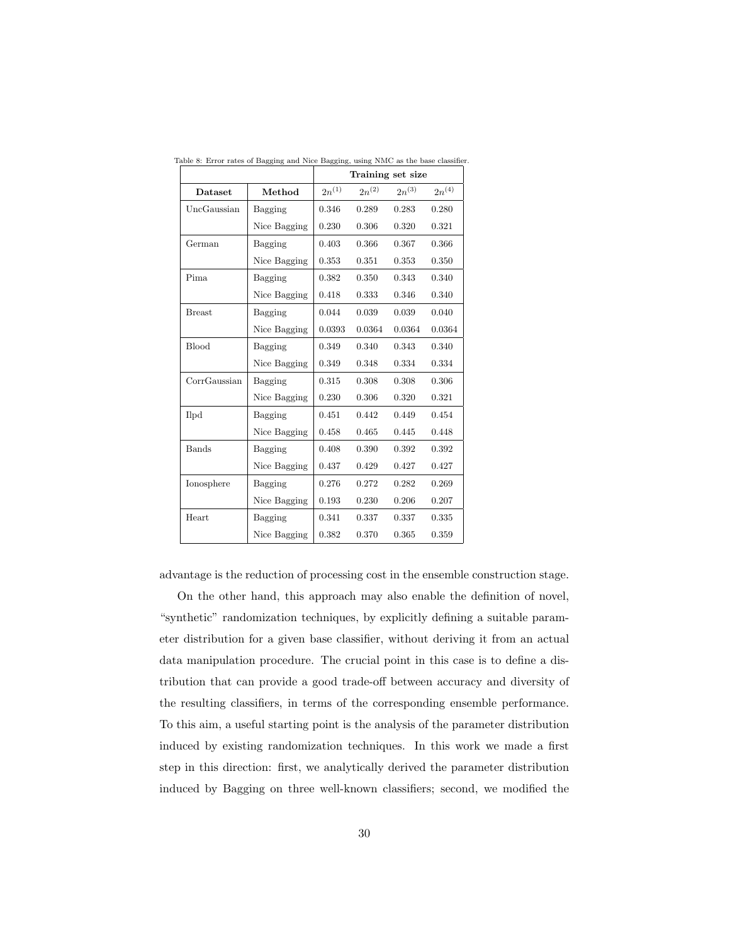|                |              | Training set size |            |            |            |  |  |
|----------------|--------------|-------------------|------------|------------|------------|--|--|
| <b>Dataset</b> | Method       | $2n^{(1)}$        | $2n^{(2)}$ | $2n^{(3)}$ | $2n^{(4)}$ |  |  |
| UncGaussian    | Bagging      | 0.346             | 0.289      | 0.283      | 0.280      |  |  |
|                | Nice Bagging | 0.230             | 0.306      | 0.320      | 0.321      |  |  |
| German         | Bagging      | 0.403             | 0.366      | 0.367      | 0.366      |  |  |
|                | Nice Bagging | 0.353             | 0.351      | 0.353      | 0.350      |  |  |
| Pima.          | Bagging      | 0.382             | 0.350      | 0.343      | 0.340      |  |  |
|                | Nice Bagging | 0.418             | 0.333      | 0.346      | 0.340      |  |  |
| <b>Breast</b>  | Bagging      | 0.044             | 0.039      | 0.039      | 0.040      |  |  |
|                | Nice Bagging | 0.0393            | 0.0364     | 0.0364     | 0.0364     |  |  |
| <b>Blood</b>   | Bagging      | 0.349             | 0.340      | 0.343      | 0.340      |  |  |
|                | Nice Bagging | 0.349             | 0.348      | 0.334      | 0.334      |  |  |
| CorrGaussian   | Bagging      | 0.315             | 0.308      | 0.308      | 0.306      |  |  |
|                | Nice Bagging | 0.230             | 0.306      | 0.320      | 0.321      |  |  |
| Ilpd           | Bagging      | 0.451             | 0.442      | 0.449      | 0.454      |  |  |
|                | Nice Bagging | 0.458             | 0.465      | 0.445      | 0.448      |  |  |
| <b>Bands</b>   | Bagging      | 0.408             | 0.390      | 0.392      | 0.392      |  |  |
|                | Nice Bagging | 0.437             | 0.429      | 0.427      | 0.427      |  |  |
| Ionosphere     | Bagging      | 0.276             | 0.272      | 0.282      | 0.269      |  |  |
|                | Nice Bagging | 0.193             | 0.230      | 0.206      | 0.207      |  |  |
| Heart          | Bagging      | 0.341             | 0.337      | 0.337      | 0.335      |  |  |
|                | Nice Bagging | 0.382             | 0.370      | 0.365      | 0.359      |  |  |

Table 8: Error rates of Bagging and Nice Bagging, using NMC as the base classifier.

advantage is the reduction of processing cost in the ensemble construction stage.

On the other hand, this approach may also enable the definition of novel, "synthetic" randomization techniques, by explicitly defining a suitable parameter distribution for a given base classifier, without deriving it from an actual data manipulation procedure. The crucial point in this case is to define a distribution that can provide a good trade-off between accuracy and diversity of the resulting classifiers, in terms of the corresponding ensemble performance. To this aim, a useful starting point is the analysis of the parameter distribution induced by existing randomization techniques. In this work we made a first step in this direction: first, we analytically derived the parameter distribution induced by Bagging on three well-known classifiers; second, we modified the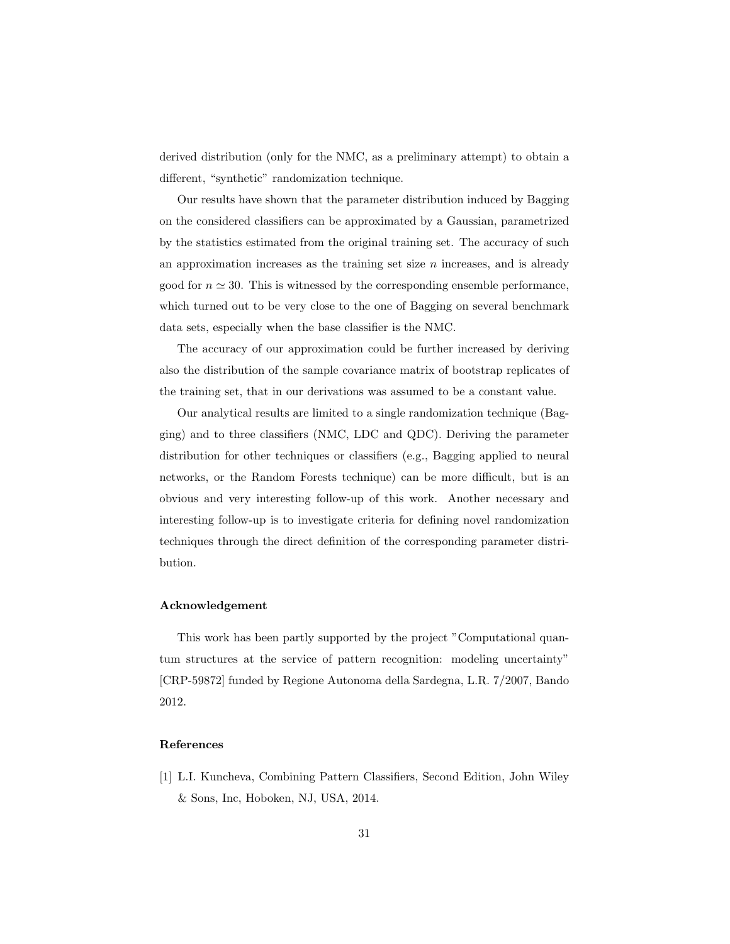derived distribution (only for the NMC, as a preliminary attempt) to obtain a different, "synthetic" randomization technique.

Our results have shown that the parameter distribution induced by Bagging on the considered classifiers can be approximated by a Gaussian, parametrized by the statistics estimated from the original training set. The accuracy of such an approximation increases as the training set size  $n$  increases, and is already good for  $n \approx 30$ . This is witnessed by the corresponding ensemble performance, which turned out to be very close to the one of Bagging on several benchmark data sets, especially when the base classifier is the NMC.

The accuracy of our approximation could be further increased by deriving also the distribution of the sample covariance matrix of bootstrap replicates of the training set, that in our derivations was assumed to be a constant value.

Our analytical results are limited to a single randomization technique (Bagging) and to three classifiers (NMC, LDC and QDC). Deriving the parameter distribution for other techniques or classifiers (e.g., Bagging applied to neural networks, or the Random Forests technique) can be more difficult, but is an obvious and very interesting follow-up of this work. Another necessary and interesting follow-up is to investigate criteria for defining novel randomization techniques through the direct definition of the corresponding parameter distribution.

#### Acknowledgement

This work has been partly supported by the project "Computational quantum structures at the service of pattern recognition: modeling uncertainty" [CRP-59872] funded by Regione Autonoma della Sardegna, L.R. 7/2007, Bando 2012.

## References

[1] L.I. Kuncheva, Combining Pattern Classifiers, Second Edition, John Wiley & Sons, Inc, Hoboken, NJ, USA, 2014.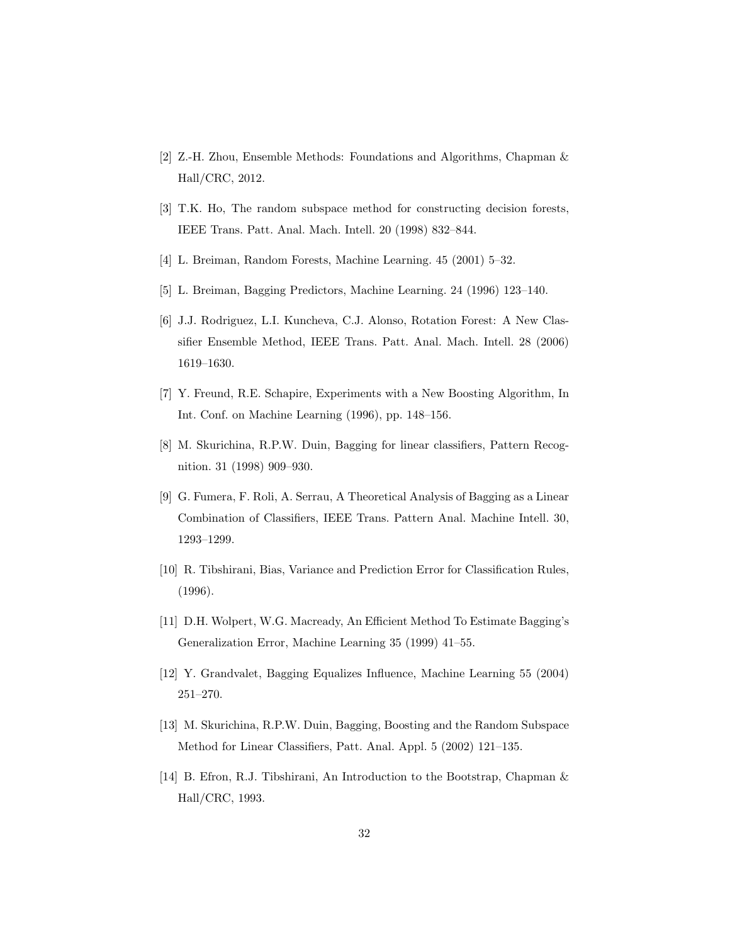- [2] Z.-H. Zhou, Ensemble Methods: Foundations and Algorithms, Chapman & Hall/CRC, 2012.
- [3] T.K. Ho, The random subspace method for constructing decision forests, IEEE Trans. Patt. Anal. Mach. Intell. 20 (1998) 832–844.
- [4] L. Breiman, Random Forests, Machine Learning. 45 (2001) 5–32.
- [5] L. Breiman, Bagging Predictors, Machine Learning. 24 (1996) 123–140.
- [6] J.J. Rodriguez, L.I. Kuncheva, C.J. Alonso, Rotation Forest: A New Classifier Ensemble Method, IEEE Trans. Patt. Anal. Mach. Intell. 28 (2006) 1619–1630.
- [7] Y. Freund, R.E. Schapire, Experiments with a New Boosting Algorithm, In Int. Conf. on Machine Learning (1996), pp. 148–156.
- [8] M. Skurichina, R.P.W. Duin, Bagging for linear classifiers, Pattern Recognition. 31 (1998) 909–930.
- [9] G. Fumera, F. Roli, A. Serrau, A Theoretical Analysis of Bagging as a Linear Combination of Classifiers, IEEE Trans. Pattern Anal. Machine Intell. 30, 1293–1299.
- [10] R. Tibshirani, Bias, Variance and Prediction Error for Classification Rules, (1996).
- [11] D.H. Wolpert, W.G. Macready, An Efficient Method To Estimate Bagging's Generalization Error, Machine Learning 35 (1999) 41–55.
- [12] Y. Grandvalet, Bagging Equalizes Influence, Machine Learning 55 (2004) 251–270.
- [13] M. Skurichina, R.P.W. Duin, Bagging, Boosting and the Random Subspace Method for Linear Classifiers, Patt. Anal. Appl. 5 (2002) 121–135.
- [14] B. Efron, R.J. Tibshirani, An Introduction to the Bootstrap, Chapman & Hall/CRC, 1993.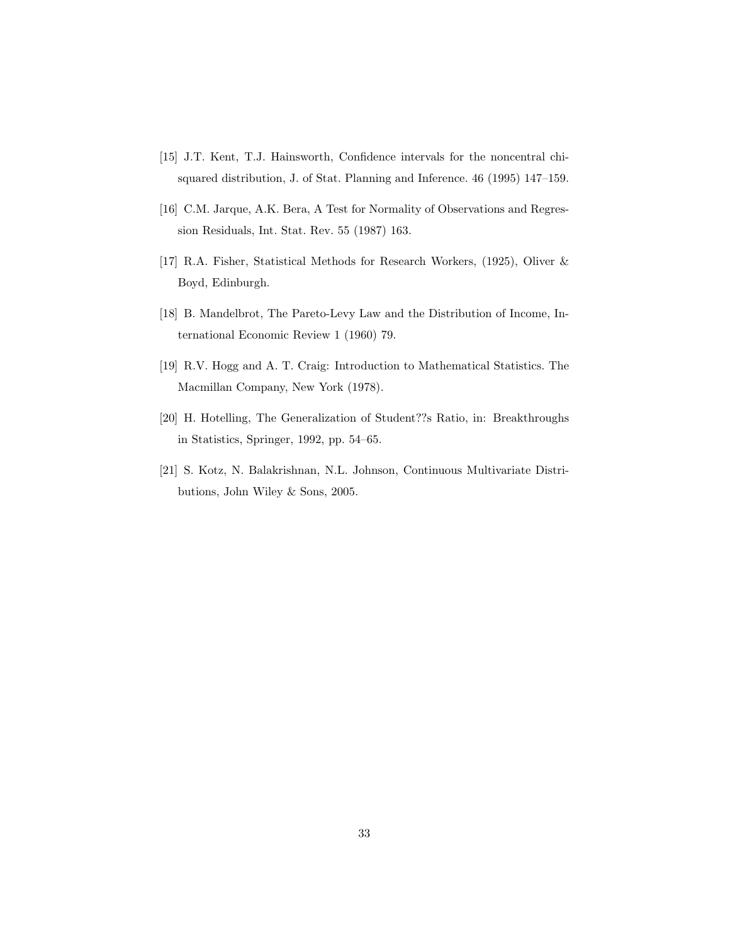- [15] J.T. Kent, T.J. Hainsworth, Confidence intervals for the noncentral chisquared distribution, J. of Stat. Planning and Inference. 46 (1995) 147–159.
- [16] C.M. Jarque, A.K. Bera, A Test for Normality of Observations and Regression Residuals, Int. Stat. Rev. 55 (1987) 163.
- [17] R.A. Fisher, Statistical Methods for Research Workers, (1925), Oliver & Boyd, Edinburgh.
- [18] B. Mandelbrot, The Pareto-Levy Law and the Distribution of Income, International Economic Review 1 (1960) 79.
- [19] R.V. Hogg and A. T. Craig: Introduction to Mathematical Statistics. The Macmillan Company, New York (1978).
- [20] H. Hotelling, The Generalization of Student??s Ratio, in: Breakthroughs in Statistics, Springer, 1992, pp. 54–65.
- [21] S. Kotz, N. Balakrishnan, N.L. Johnson, Continuous Multivariate Distributions, John Wiley & Sons, 2005.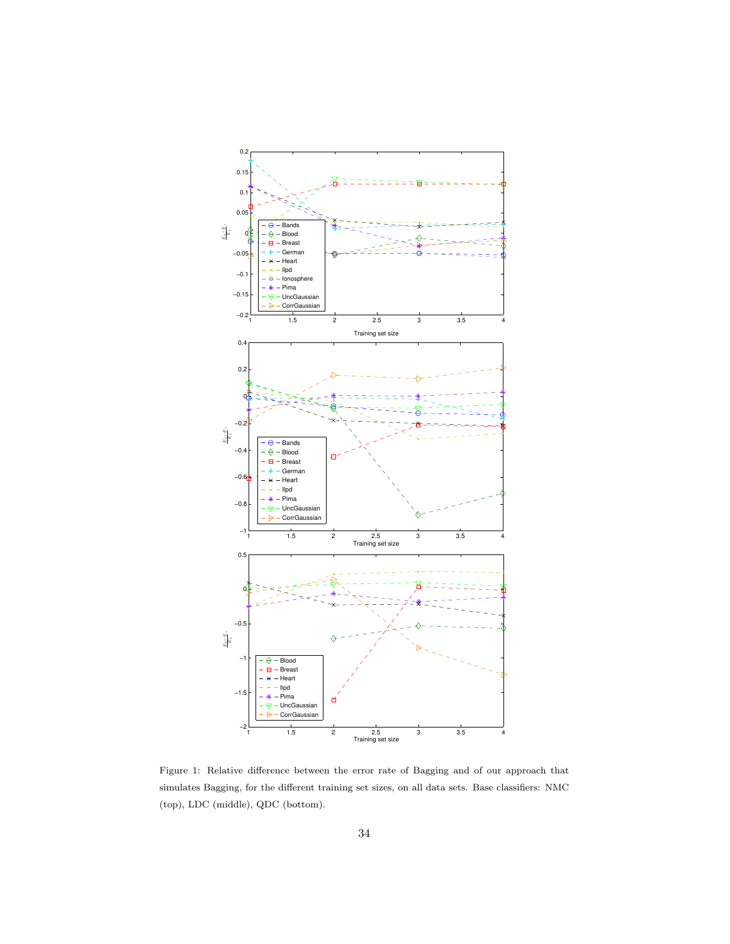

Figure 1: Relative difference between the error rate of Bagging and of our approach that simulates Bagging, for the different training set sizes, on all data sets. Base classifiers: NMC (top), LDC (middle), QDC (bottom).